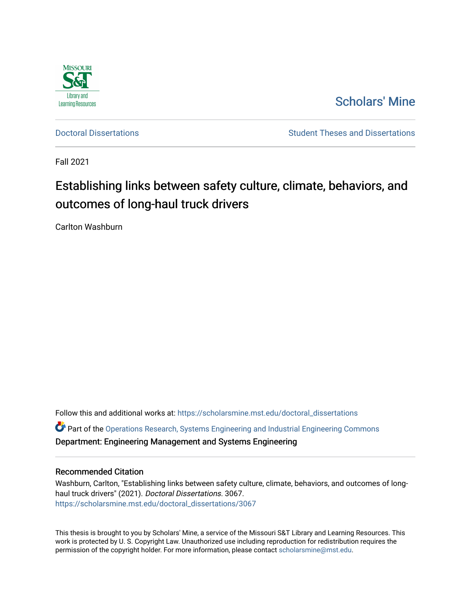

# [Scholars' Mine](https://scholarsmine.mst.edu/)

[Doctoral Dissertations](https://scholarsmine.mst.edu/doctoral_dissertations) **Student Theses and Dissertations Student Theses and Dissertations** 

Fall 2021

# Establishing links between safety culture, climate, behaviors, and outcomes of long-haul truck drivers

Carlton Washburn

Follow this and additional works at: [https://scholarsmine.mst.edu/doctoral\\_dissertations](https://scholarsmine.mst.edu/doctoral_dissertations?utm_source=scholarsmine.mst.edu%2Fdoctoral_dissertations%2F3067&utm_medium=PDF&utm_campaign=PDFCoverPages)  $\bullet$  Part of the [Operations Research, Systems Engineering and Industrial Engineering Commons](http://network.bepress.com/hgg/discipline/305?utm_source=scholarsmine.mst.edu%2Fdoctoral_dissertations%2F3067&utm_medium=PDF&utm_campaign=PDFCoverPages) Department: Engineering Management and Systems Engineering

#### Recommended Citation

Washburn, Carlton, "Establishing links between safety culture, climate, behaviors, and outcomes of longhaul truck drivers" (2021). Doctoral Dissertations. 3067. [https://scholarsmine.mst.edu/doctoral\\_dissertations/3067](https://scholarsmine.mst.edu/doctoral_dissertations/3067?utm_source=scholarsmine.mst.edu%2Fdoctoral_dissertations%2F3067&utm_medium=PDF&utm_campaign=PDFCoverPages)

This thesis is brought to you by Scholars' Mine, a service of the Missouri S&T Library and Learning Resources. This work is protected by U. S. Copyright Law. Unauthorized use including reproduction for redistribution requires the permission of the copyright holder. For more information, please contact [scholarsmine@mst.edu](mailto:scholarsmine@mst.edu).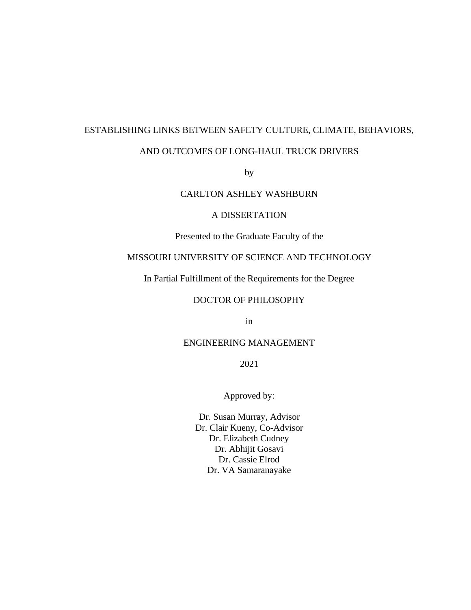# ESTABLISHING LINKS BETWEEN SAFETY CULTURE, CLIMATE, BEHAVIORS,

## AND OUTCOMES OF LONG-HAUL TRUCK DRIVERS

by

#### CARLTON ASHLEY WASHBURN

#### A DISSERTATION

Presented to the Graduate Faculty of the

#### MISSOURI UNIVERSITY OF SCIENCE AND TECHNOLOGY

In Partial Fulfillment of the Requirements for the Degree

#### DOCTOR OF PHILOSOPHY

in

#### ENGINEERING MANAGEMENT

2021

Approved by:

Dr. Susan Murray, Advisor Dr. Clair Kueny, Co-Advisor Dr. Elizabeth Cudney Dr. Abhijit Gosavi Dr. Cassie Elrod Dr. VA Samaranayake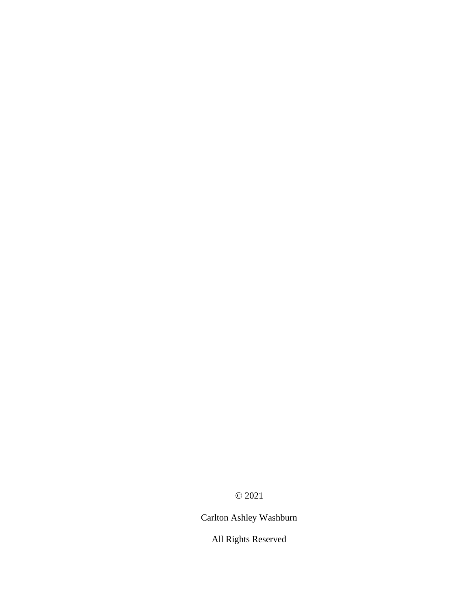© 2021

Carlton Ashley Washburn

All Rights Reserved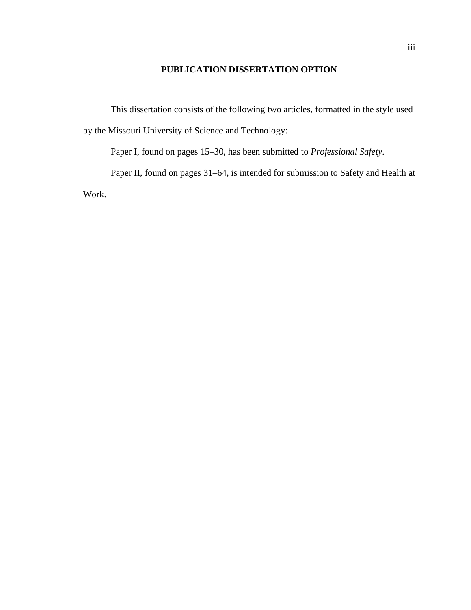## **PUBLICATION DISSERTATION OPTION**

This dissertation consists of the following two articles, formatted in the style used by the Missouri University of Science and Technology:

Paper I, found on pages 15–30, has been submitted to *Professional Safety*.

Paper II, found on pages 31–64, is intended for submission to Safety and Health at Work.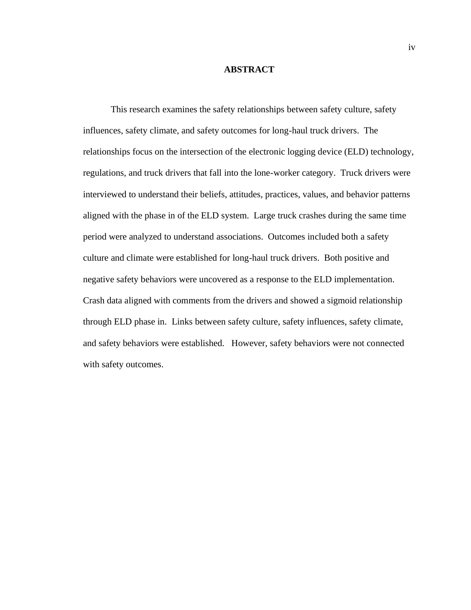#### **ABSTRACT**

This research examines the safety relationships between safety culture, safety influences, safety climate, and safety outcomes for long-haul truck drivers. The relationships focus on the intersection of the electronic logging device (ELD) technology, regulations, and truck drivers that fall into the lone-worker category. Truck drivers were interviewed to understand their beliefs, attitudes, practices, values, and behavior patterns aligned with the phase in of the ELD system. Large truck crashes during the same time period were analyzed to understand associations. Outcomes included both a safety culture and climate were established for long-haul truck drivers. Both positive and negative safety behaviors were uncovered as a response to the ELD implementation. Crash data aligned with comments from the drivers and showed a sigmoid relationship through ELD phase in. Links between safety culture, safety influences, safety climate, and safety behaviors were established. However, safety behaviors were not connected with safety outcomes.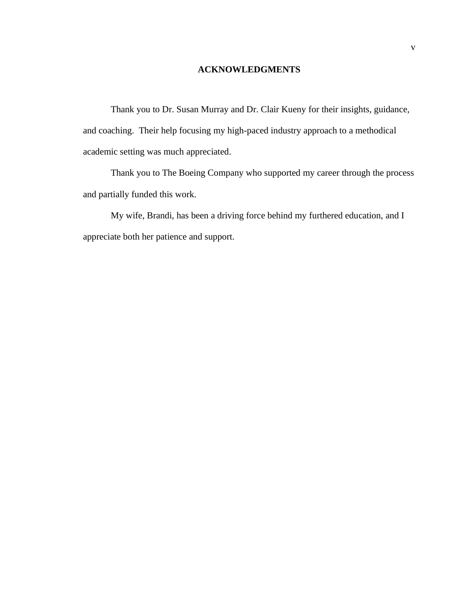### **ACKNOWLEDGMENTS**

Thank you to Dr. Susan Murray and Dr. Clair Kueny for their insights, guidance, and coaching. Their help focusing my high-paced industry approach to a methodical academic setting was much appreciated.

Thank you to The Boeing Company who supported my career through the process and partially funded this work.

My wife, Brandi, has been a driving force behind my furthered education, and I appreciate both her patience and support.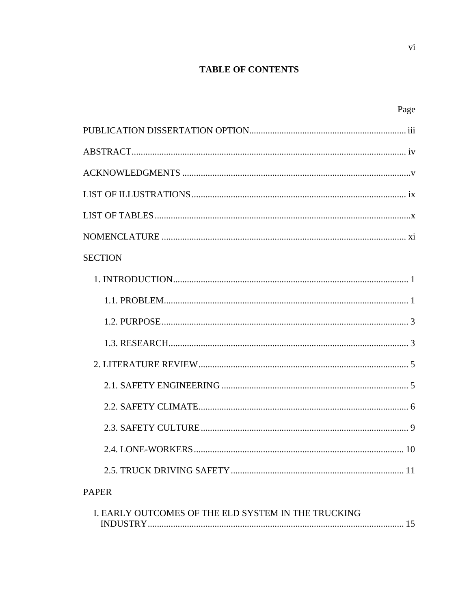# **TABLE OF CONTENTS**

| Page                                                       |
|------------------------------------------------------------|
|                                                            |
|                                                            |
|                                                            |
|                                                            |
|                                                            |
|                                                            |
| <b>SECTION</b>                                             |
|                                                            |
|                                                            |
|                                                            |
|                                                            |
|                                                            |
|                                                            |
|                                                            |
|                                                            |
| 10                                                         |
|                                                            |
| <b>PAPER</b>                                               |
| I. EARLY OUTCOMES OF THE ELD SYSTEM IN THE TRUCKING<br>15. |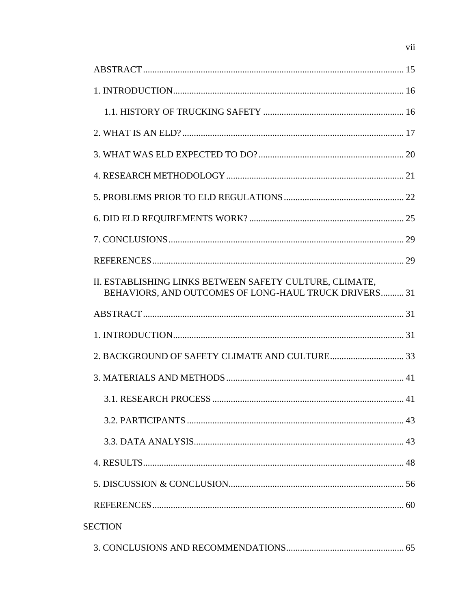| II. ESTABLISHING LINKS BETWEEN SAFETY CULTURE, CLIMATE,<br>BEHAVIORS, AND OUTCOMES OF LONG-HAUL TRUCK DRIVERS 31 |  |
|------------------------------------------------------------------------------------------------------------------|--|
|                                                                                                                  |  |
|                                                                                                                  |  |
|                                                                                                                  |  |
|                                                                                                                  |  |
|                                                                                                                  |  |
|                                                                                                                  |  |
|                                                                                                                  |  |
|                                                                                                                  |  |
|                                                                                                                  |  |
|                                                                                                                  |  |
| <b>SECTION</b>                                                                                                   |  |
|                                                                                                                  |  |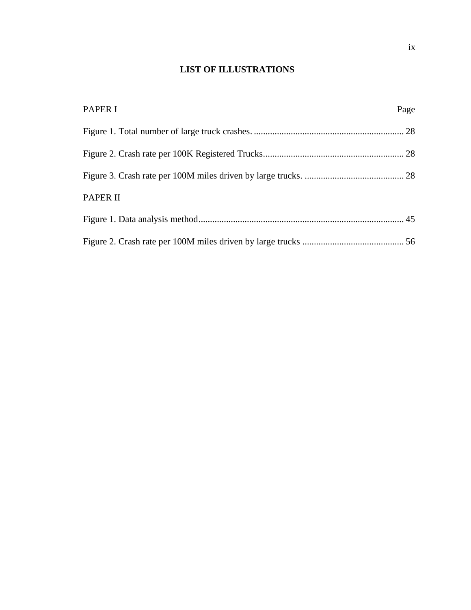# **LIST OF ILLUSTRATIONS**

| <b>PAPER I</b>  | Page |
|-----------------|------|
|                 |      |
|                 |      |
|                 |      |
| <b>PAPER II</b> |      |
|                 |      |
|                 |      |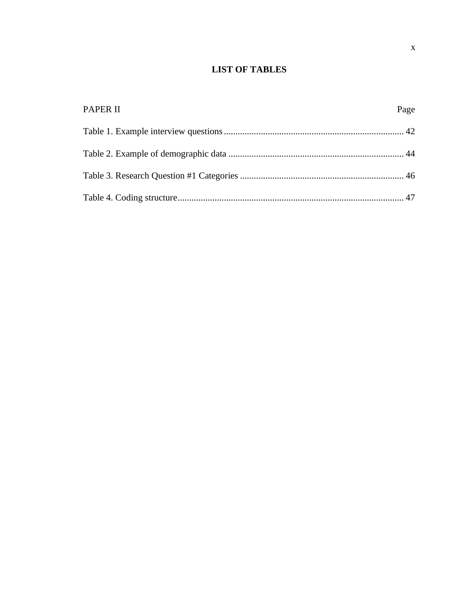# **LIST OF TABLES**

| PAPER II | Page |
|----------|------|
|          |      |
|          |      |
|          |      |
|          |      |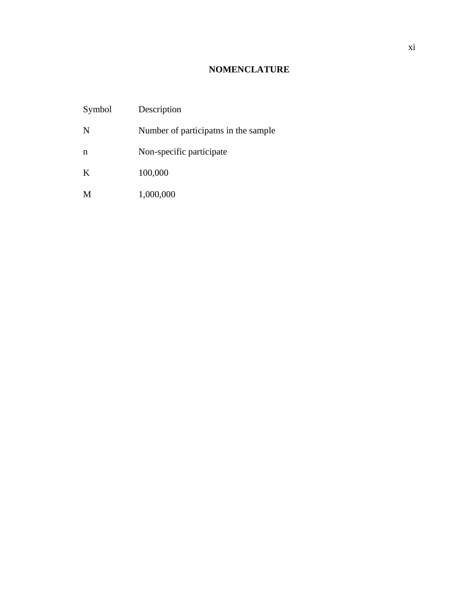# **NOMENCLATURE**

| Symbol | Description                          |
|--------|--------------------------------------|
| N      | Number of participatns in the sample |
| n      | Non-specific participate             |
| K      | 100,000                              |
| M      | 1,000,000                            |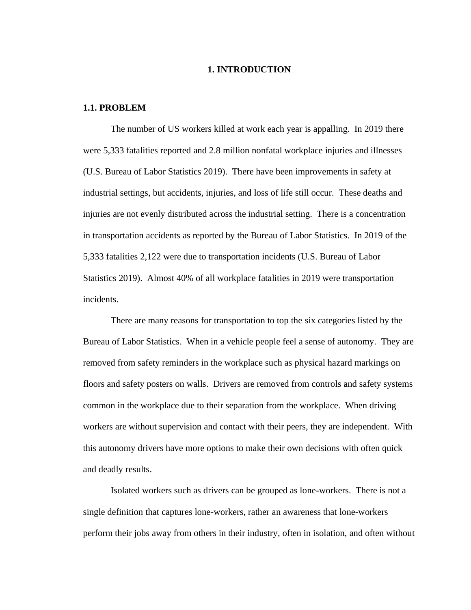#### **1. INTRODUCTION**

#### **1.1. PROBLEM**

The number of US workers killed at work each year is appalling. In 2019 there were 5,333 fatalities reported and 2.8 million nonfatal workplace injuries and illnesses (U.S. Bureau of Labor Statistics 2019). There have been improvements in safety at industrial settings, but accidents, injuries, and loss of life still occur. These deaths and injuries are not evenly distributed across the industrial setting. There is a concentration in transportation accidents as reported by the Bureau of Labor Statistics. In 2019 of the 5,333 fatalities 2,122 were due to transportation incidents (U.S. Bureau of Labor Statistics 2019). Almost 40% of all workplace fatalities in 2019 were transportation incidents.

There are many reasons for transportation to top the six categories listed by the Bureau of Labor Statistics. When in a vehicle people feel a sense of autonomy. They are removed from safety reminders in the workplace such as physical hazard markings on floors and safety posters on walls. Drivers are removed from controls and safety systems common in the workplace due to their separation from the workplace. When driving workers are without supervision and contact with their peers, they are independent. With this autonomy drivers have more options to make their own decisions with often quick and deadly results.

Isolated workers such as drivers can be grouped as lone-workers. There is not a single definition that captures lone-workers, rather an awareness that lone-workers perform their jobs away from others in their industry, often in isolation, and often without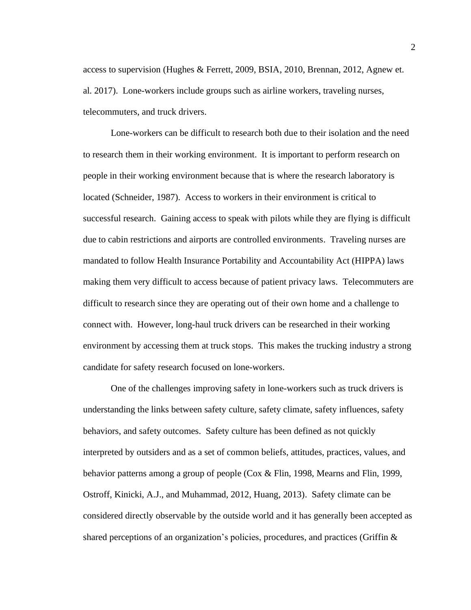access to supervision (Hughes & Ferrett, 2009, BSIA, 2010, Brennan, 2012, Agnew et. al. 2017). Lone-workers include groups such as airline workers, traveling nurses, telecommuters, and truck drivers.

Lone-workers can be difficult to research both due to their isolation and the need to research them in their working environment. It is important to perform research on people in their working environment because that is where the research laboratory is located (Schneider, 1987). Access to workers in their environment is critical to successful research. Gaining access to speak with pilots while they are flying is difficult due to cabin restrictions and airports are controlled environments. Traveling nurses are mandated to follow Health Insurance Portability and Accountability Act (HIPPA) laws making them very difficult to access because of patient privacy laws. Telecommuters are difficult to research since they are operating out of their own home and a challenge to connect with. However, long-haul truck drivers can be researched in their working environment by accessing them at truck stops. This makes the trucking industry a strong candidate for safety research focused on lone-workers.

One of the challenges improving safety in lone-workers such as truck drivers is understanding the links between safety culture, safety climate, safety influences, safety behaviors, and safety outcomes. Safety culture has been defined as not quickly interpreted by outsiders and as a set of common beliefs, attitudes, practices, values, and behavior patterns among a group of people (Cox & Flin, 1998, Mearns and Flin, 1999, Ostroff, Kinicki, A.J., and Muhammad, 2012, Huang, 2013). Safety climate can be considered directly observable by the outside world and it has generally been accepted as shared perceptions of an organization's policies, procedures, and practices (Griffin  $\&$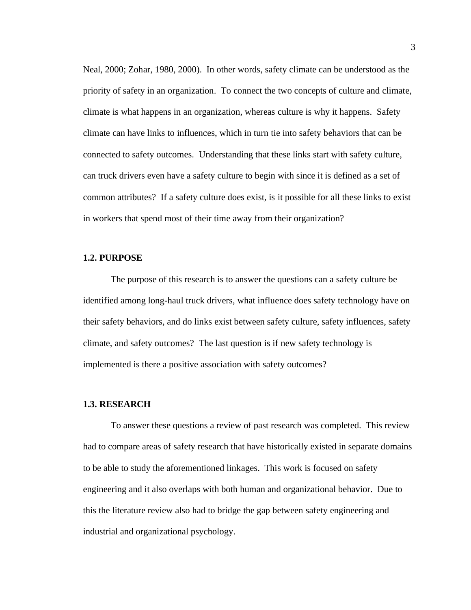Neal, 2000; Zohar, 1980, 2000). In other words, safety climate can be understood as the priority of safety in an organization. To connect the two concepts of culture and climate, climate is what happens in an organization, whereas culture is why it happens. Safety climate can have links to influences, which in turn tie into safety behaviors that can be connected to safety outcomes. Understanding that these links start with safety culture, can truck drivers even have a safety culture to begin with since it is defined as a set of common attributes? If a safety culture does exist, is it possible for all these links to exist in workers that spend most of their time away from their organization?

#### **1.2. PURPOSE**

The purpose of this research is to answer the questions can a safety culture be identified among long-haul truck drivers, what influence does safety technology have on their safety behaviors, and do links exist between safety culture, safety influences, safety climate, and safety outcomes? The last question is if new safety technology is implemented is there a positive association with safety outcomes?

#### **1.3. RESEARCH**

To answer these questions a review of past research was completed. This review had to compare areas of safety research that have historically existed in separate domains to be able to study the aforementioned linkages. This work is focused on safety engineering and it also overlaps with both human and organizational behavior. Due to this the literature review also had to bridge the gap between safety engineering and industrial and organizational psychology.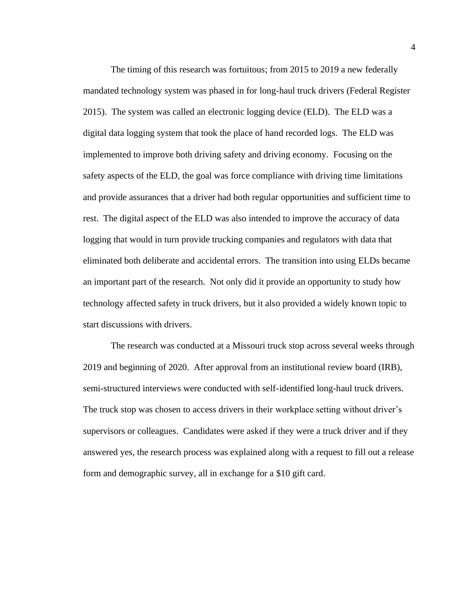The timing of this research was fortuitous; from 2015 to 2019 a new federally mandated technology system was phased in for long-haul truck drivers (Federal Register 2015). The system was called an electronic logging device (ELD). The ELD was a digital data logging system that took the place of hand recorded logs. The ELD was implemented to improve both driving safety and driving economy. Focusing on the safety aspects of the ELD, the goal was force compliance with driving time limitations and provide assurances that a driver had both regular opportunities and sufficient time to rest. The digital aspect of the ELD was also intended to improve the accuracy of data logging that would in turn provide trucking companies and regulators with data that eliminated both deliberate and accidental errors. The transition into using ELDs became an important part of the research. Not only did it provide an opportunity to study how technology affected safety in truck drivers, but it also provided a widely known topic to start discussions with drivers.

The research was conducted at a Missouri truck stop across several weeks through 2019 and beginning of 2020. After approval from an institutional review board (IRB), semi-structured interviews were conducted with self-identified long-haul truck drivers. The truck stop was chosen to access drivers in their workplace setting without driver's supervisors or colleagues. Candidates were asked if they were a truck driver and if they answered yes, the research process was explained along with a request to fill out a release form and demographic survey, all in exchange for a \$10 gift card.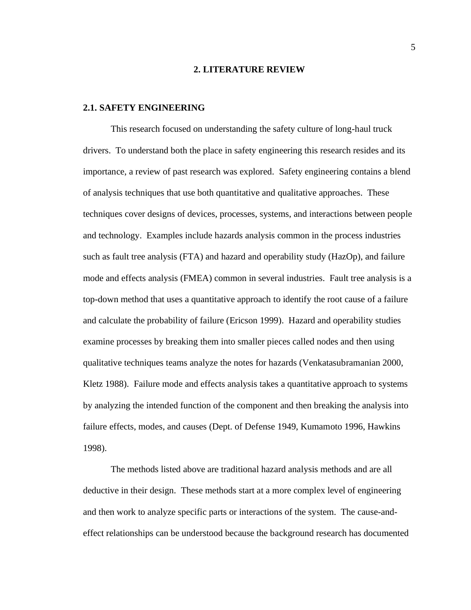#### **2. LITERATURE REVIEW**

#### **2.1. SAFETY ENGINEERING**

This research focused on understanding the safety culture of long-haul truck drivers. To understand both the place in safety engineering this research resides and its importance, a review of past research was explored. Safety engineering contains a blend of analysis techniques that use both quantitative and qualitative approaches. These techniques cover designs of devices, processes, systems, and interactions between people and technology. Examples include hazards analysis common in the process industries such as fault tree analysis (FTA) and hazard and operability study (HazOp), and failure mode and effects analysis (FMEA) common in several industries. Fault tree analysis is a top-down method that uses a quantitative approach to identify the root cause of a failure and calculate the probability of failure (Ericson 1999). Hazard and operability studies examine processes by breaking them into smaller pieces called nodes and then using qualitative techniques teams analyze the notes for hazards (Venkatasubramanian 2000, Kletz 1988). Failure mode and effects analysis takes a quantitative approach to systems by analyzing the intended function of the component and then breaking the analysis into failure effects, modes, and causes (Dept. of Defense 1949, Kumamoto 1996, Hawkins 1998).

The methods listed above are traditional hazard analysis methods and are all deductive in their design. These methods start at a more complex level of engineering and then work to analyze specific parts or interactions of the system. The cause-andeffect relationships can be understood because the background research has documented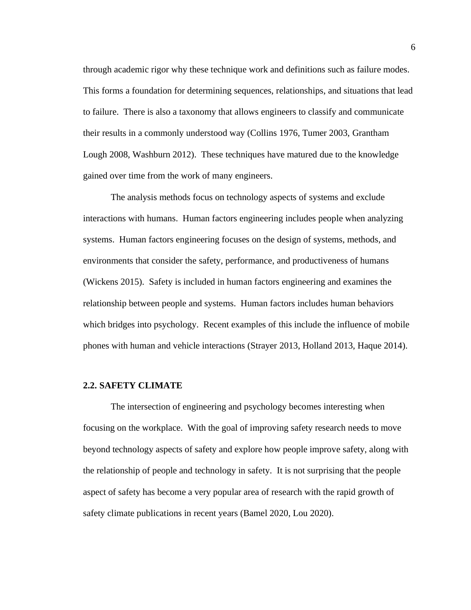through academic rigor why these technique work and definitions such as failure modes. This forms a foundation for determining sequences, relationships, and situations that lead to failure. There is also a taxonomy that allows engineers to classify and communicate their results in a commonly understood way (Collins 1976, Tumer 2003, Grantham Lough 2008, Washburn 2012). These techniques have matured due to the knowledge gained over time from the work of many engineers.

The analysis methods focus on technology aspects of systems and exclude interactions with humans. Human factors engineering includes people when analyzing systems. Human factors engineering focuses on the design of systems, methods, and environments that consider the safety, performance, and productiveness of humans (Wickens 2015). Safety is included in human factors engineering and examines the relationship between people and systems. Human factors includes human behaviors which bridges into psychology. Recent examples of this include the influence of mobile phones with human and vehicle interactions (Strayer 2013, Holland 2013, Haque 2014).

#### **2.2. SAFETY CLIMATE**

The intersection of engineering and psychology becomes interesting when focusing on the workplace. With the goal of improving safety research needs to move beyond technology aspects of safety and explore how people improve safety, along with the relationship of people and technology in safety. It is not surprising that the people aspect of safety has become a very popular area of research with the rapid growth of safety climate publications in recent years (Bamel 2020, Lou 2020).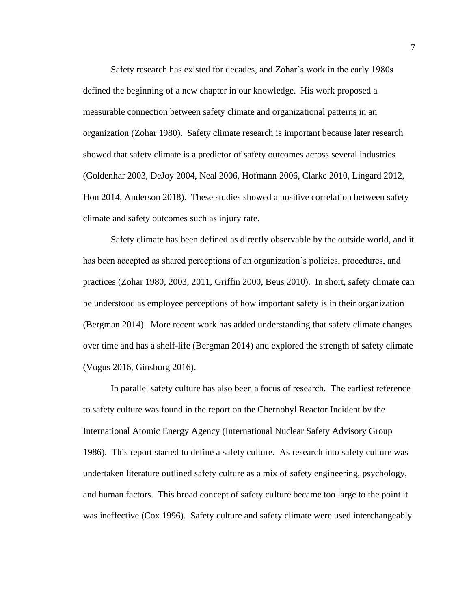Safety research has existed for decades, and Zohar's work in the early 1980s defined the beginning of a new chapter in our knowledge. His work proposed a measurable connection between safety climate and organizational patterns in an organization (Zohar 1980). Safety climate research is important because later research showed that safety climate is a predictor of safety outcomes across several industries (Goldenhar 2003, DeJoy 2004, Neal 2006, Hofmann 2006, Clarke 2010, Lingard 2012, Hon 2014, Anderson 2018). These studies showed a positive correlation between safety climate and safety outcomes such as injury rate.

Safety climate has been defined as directly observable by the outside world, and it has been accepted as shared perceptions of an organization's policies, procedures, and practices (Zohar 1980, 2003, 2011, Griffin 2000, Beus 2010). In short, safety climate can be understood as employee perceptions of how important safety is in their organization (Bergman 2014). More recent work has added understanding that safety climate changes over time and has a shelf-life (Bergman 2014) and explored the strength of safety climate (Vogus 2016, Ginsburg 2016).

In parallel safety culture has also been a focus of research. The earliest reference to safety culture was found in the report on the Chernobyl Reactor Incident by the International Atomic Energy Agency (International Nuclear Safety Advisory Group 1986). This report started to define a safety culture. As research into safety culture was undertaken literature outlined safety culture as a mix of safety engineering, psychology, and human factors. This broad concept of safety culture became too large to the point it was ineffective (Cox 1996). Safety culture and safety climate were used interchangeably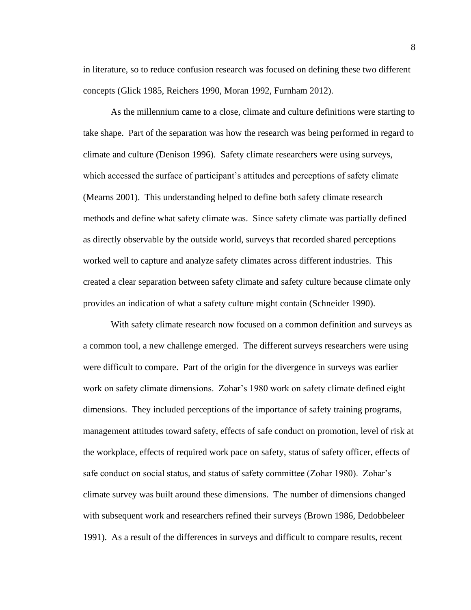in literature, so to reduce confusion research was focused on defining these two different concepts (Glick 1985, Reichers 1990, Moran 1992, Furnham 2012).

As the millennium came to a close, climate and culture definitions were starting to take shape. Part of the separation was how the research was being performed in regard to climate and culture (Denison 1996). Safety climate researchers were using surveys, which accessed the surface of participant's attitudes and perceptions of safety climate (Mearns 2001). This understanding helped to define both safety climate research methods and define what safety climate was. Since safety climate was partially defined as directly observable by the outside world, surveys that recorded shared perceptions worked well to capture and analyze safety climates across different industries. This created a clear separation between safety climate and safety culture because climate only provides an indication of what a safety culture might contain (Schneider 1990).

With safety climate research now focused on a common definition and surveys as a common tool, a new challenge emerged. The different surveys researchers were using were difficult to compare. Part of the origin for the divergence in surveys was earlier work on safety climate dimensions. Zohar's 1980 work on safety climate defined eight dimensions. They included perceptions of the importance of safety training programs, management attitudes toward safety, effects of safe conduct on promotion, level of risk at the workplace, effects of required work pace on safety, status of safety officer, effects of safe conduct on social status, and status of safety committee (Zohar 1980). Zohar's climate survey was built around these dimensions. The number of dimensions changed with subsequent work and researchers refined their surveys (Brown 1986, Dedobbeleer 1991). As a result of the differences in surveys and difficult to compare results, recent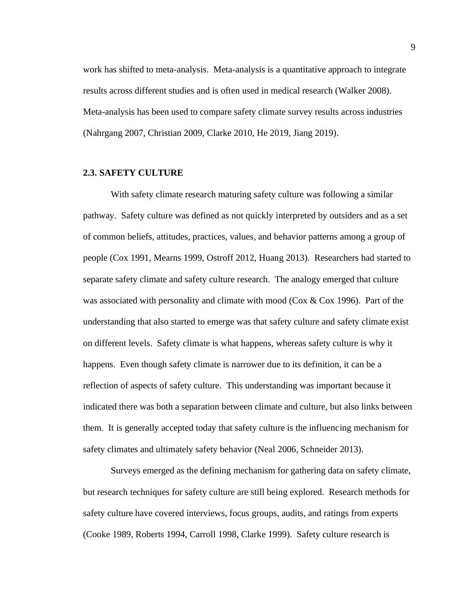work has shifted to meta-analysis. Meta-analysis is a quantitative approach to integrate results across different studies and is often used in medical research (Walker 2008). Meta-analysis has been used to compare safety climate survey results across industries (Nahrgang 2007, Christian 2009, Clarke 2010, He 2019, Jiang 2019).

#### **2.3. SAFETY CULTURE**

With safety climate research maturing safety culture was following a similar pathway. Safety culture was defined as not quickly interpreted by outsiders and as a set of common beliefs, attitudes, practices, values, and behavior patterns among a group of people (Cox 1991, Mearns 1999, Ostroff 2012, Huang 2013). Researchers had started to separate safety climate and safety culture research. The analogy emerged that culture was associated with personality and climate with mood (Cox & Cox 1996). Part of the understanding that also started to emerge was that safety culture and safety climate exist on different levels. Safety climate is what happens, whereas safety culture is why it happens. Even though safety climate is narrower due to its definition, it can be a reflection of aspects of safety culture. This understanding was important because it indicated there was both a separation between climate and culture, but also links between them. It is generally accepted today that safety culture is the influencing mechanism for safety climates and ultimately safety behavior (Neal 2006, Schneider 2013).

Surveys emerged as the defining mechanism for gathering data on safety climate, but research techniques for safety culture are still being explored. Research methods for safety culture have covered interviews, focus groups, audits, and ratings from experts (Cooke 1989, Roberts 1994, Carroll 1998, Clarke 1999). Safety culture research is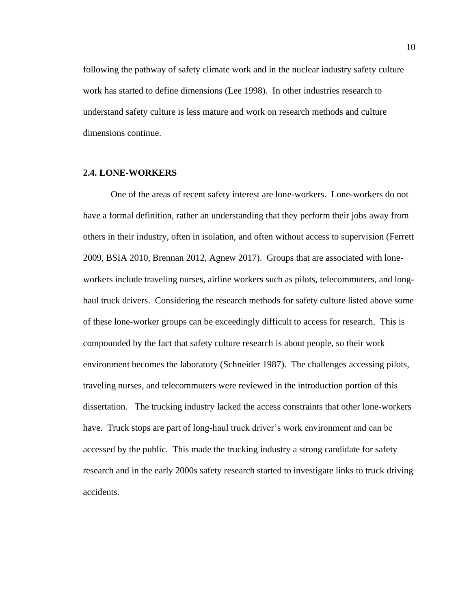following the pathway of safety climate work and in the nuclear industry safety culture work has started to define dimensions (Lee 1998). In other industries research to understand safety culture is less mature and work on research methods and culture dimensions continue.

#### **2.4. LONE-WORKERS**

One of the areas of recent safety interest are lone-workers. Lone-workers do not have a formal definition, rather an understanding that they perform their jobs away from others in their industry, often in isolation, and often without access to supervision (Ferrett 2009, BSIA 2010, Brennan 2012, Agnew 2017). Groups that are associated with loneworkers include traveling nurses, airline workers such as pilots, telecommuters, and longhaul truck drivers. Considering the research methods for safety culture listed above some of these lone-worker groups can be exceedingly difficult to access for research. This is compounded by the fact that safety culture research is about people, so their work environment becomes the laboratory (Schneider 1987). The challenges accessing pilots, traveling nurses, and telecommuters were reviewed in the introduction portion of this dissertation. The trucking industry lacked the access constraints that other lone-workers have. Truck stops are part of long-haul truck driver's work environment and can be accessed by the public. This made the trucking industry a strong candidate for safety research and in the early 2000s safety research started to investigate links to truck driving accidents.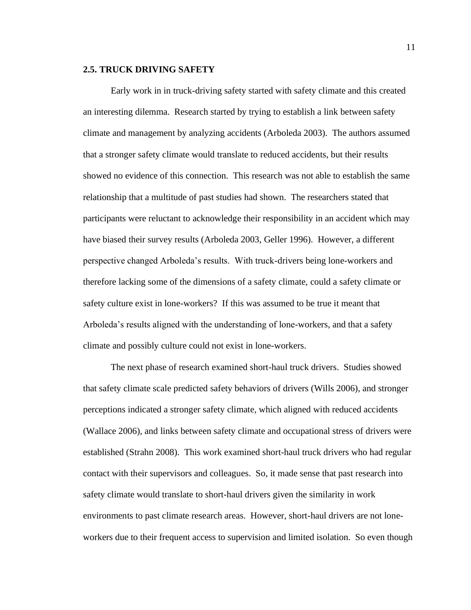#### **2.5. TRUCK DRIVING SAFETY**

Early work in in truck-driving safety started with safety climate and this created an interesting dilemma. Research started by trying to establish a link between safety climate and management by analyzing accidents (Arboleda 2003). The authors assumed that a stronger safety climate would translate to reduced accidents, but their results showed no evidence of this connection. This research was not able to establish the same relationship that a multitude of past studies had shown. The researchers stated that participants were reluctant to acknowledge their responsibility in an accident which may have biased their survey results (Arboleda 2003, Geller 1996). However, a different perspective changed Arboleda's results. With truck-drivers being lone-workers and therefore lacking some of the dimensions of a safety climate, could a safety climate or safety culture exist in lone-workers? If this was assumed to be true it meant that Arboleda's results aligned with the understanding of lone-workers, and that a safety climate and possibly culture could not exist in lone-workers.

The next phase of research examined short-haul truck drivers. Studies showed that safety climate scale predicted safety behaviors of drivers (Wills 2006), and stronger perceptions indicated a stronger safety climate, which aligned with reduced accidents (Wallace 2006), and links between safety climate and occupational stress of drivers were established (Strahn 2008). This work examined short-haul truck drivers who had regular contact with their supervisors and colleagues. So, it made sense that past research into safety climate would translate to short-haul drivers given the similarity in work environments to past climate research areas. However, short-haul drivers are not loneworkers due to their frequent access to supervision and limited isolation. So even though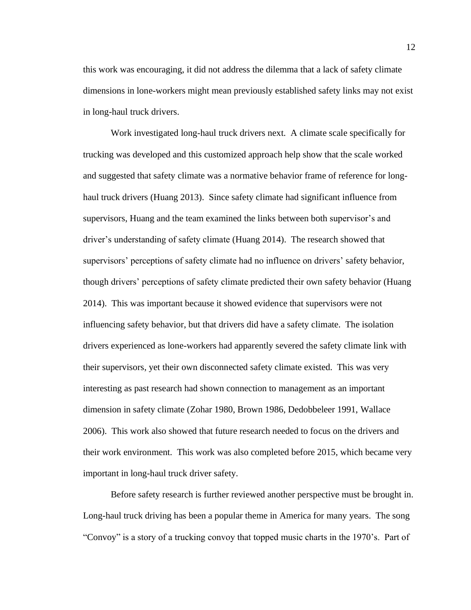this work was encouraging, it did not address the dilemma that a lack of safety climate dimensions in lone-workers might mean previously established safety links may not exist in long-haul truck drivers.

Work investigated long-haul truck drivers next. A climate scale specifically for trucking was developed and this customized approach help show that the scale worked and suggested that safety climate was a normative behavior frame of reference for longhaul truck drivers (Huang 2013). Since safety climate had significant influence from supervisors, Huang and the team examined the links between both supervisor's and driver's understanding of safety climate (Huang 2014). The research showed that supervisors' perceptions of safety climate had no influence on drivers' safety behavior, though drivers' perceptions of safety climate predicted their own safety behavior (Huang 2014). This was important because it showed evidence that supervisors were not influencing safety behavior, but that drivers did have a safety climate. The isolation drivers experienced as lone-workers had apparently severed the safety climate link with their supervisors, yet their own disconnected safety climate existed. This was very interesting as past research had shown connection to management as an important dimension in safety climate (Zohar 1980, Brown 1986, Dedobbeleer 1991, Wallace 2006). This work also showed that future research needed to focus on the drivers and their work environment. This work was also completed before 2015, which became very important in long-haul truck driver safety.

Before safety research is further reviewed another perspective must be brought in. Long-haul truck driving has been a popular theme in America for many years. The song "Convoy" is a story of a trucking convoy that topped music charts in the 1970's. Part of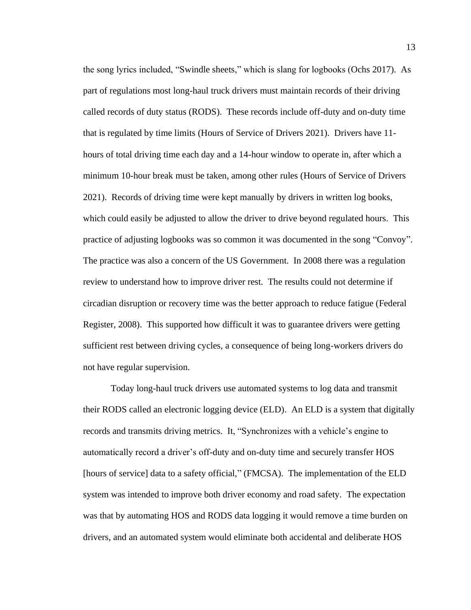the song lyrics included, "Swindle sheets," which is slang for logbooks (Ochs 2017). As part of regulations most long-haul truck drivers must maintain records of their driving called records of duty status (RODS). These records include off-duty and on-duty time that is regulated by time limits (Hours of Service of Drivers 2021). Drivers have 11 hours of total driving time each day and a 14-hour window to operate in, after which a minimum 10-hour break must be taken, among other rules (Hours of Service of Drivers 2021). Records of driving time were kept manually by drivers in written log books, which could easily be adjusted to allow the driver to drive beyond regulated hours. This practice of adjusting logbooks was so common it was documented in the song "Convoy". The practice was also a concern of the US Government. In 2008 there was a regulation review to understand how to improve driver rest. The results could not determine if circadian disruption or recovery time was the better approach to reduce fatigue (Federal Register, 2008). This supported how difficult it was to guarantee drivers were getting sufficient rest between driving cycles, a consequence of being long-workers drivers do not have regular supervision.

Today long-haul truck drivers use automated systems to log data and transmit their RODS called an electronic logging device (ELD). An ELD is a system that digitally records and transmits driving metrics. It, "Synchronizes with a vehicle's engine to automatically record a driver's off-duty and on-duty time and securely transfer HOS [hours of service] data to a safety official," (FMCSA). The implementation of the ELD system was intended to improve both driver economy and road safety. The expectation was that by automating HOS and RODS data logging it would remove a time burden on drivers, and an automated system would eliminate both accidental and deliberate HOS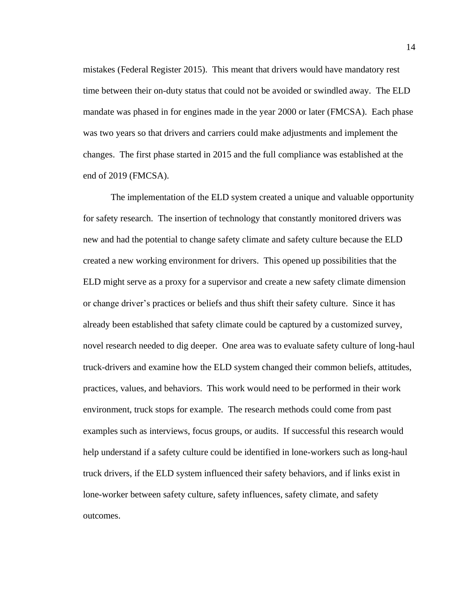mistakes (Federal Register 2015). This meant that drivers would have mandatory rest time between their on-duty status that could not be avoided or swindled away. The ELD mandate was phased in for engines made in the year 2000 or later (FMCSA). Each phase was two years so that drivers and carriers could make adjustments and implement the changes. The first phase started in 2015 and the full compliance was established at the end of 2019 (FMCSA).

The implementation of the ELD system created a unique and valuable opportunity for safety research. The insertion of technology that constantly monitored drivers was new and had the potential to change safety climate and safety culture because the ELD created a new working environment for drivers. This opened up possibilities that the ELD might serve as a proxy for a supervisor and create a new safety climate dimension or change driver's practices or beliefs and thus shift their safety culture. Since it has already been established that safety climate could be captured by a customized survey, novel research needed to dig deeper. One area was to evaluate safety culture of long-haul truck-drivers and examine how the ELD system changed their common beliefs, attitudes, practices, values, and behaviors. This work would need to be performed in their work environment, truck stops for example. The research methods could come from past examples such as interviews, focus groups, or audits. If successful this research would help understand if a safety culture could be identified in lone-workers such as long-haul truck drivers, if the ELD system influenced their safety behaviors, and if links exist in lone-worker between safety culture, safety influences, safety climate, and safety outcomes.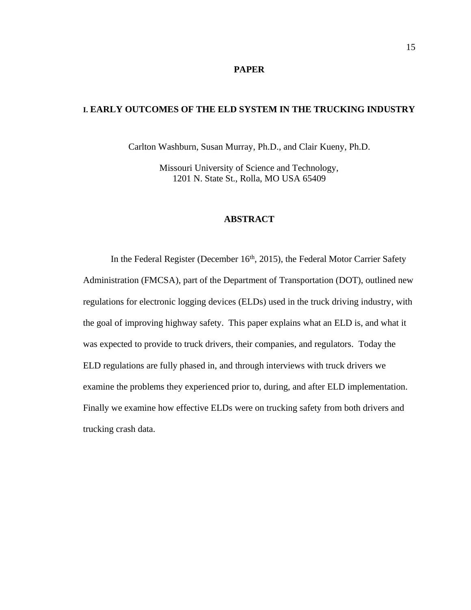#### **PAPER**

#### **I. EARLY OUTCOMES OF THE ELD SYSTEM IN THE TRUCKING INDUSTRY**

Carlton Washburn, Susan Murray, Ph.D., and Clair Kueny, Ph.D.

Missouri University of Science and Technology, 1201 N. State St., Rolla, MO USA 65409

#### **ABSTRACT**

In the Federal Register (December  $16<sup>th</sup>$ , 2015), the Federal Motor Carrier Safety Administration (FMCSA), part of the Department of Transportation (DOT), outlined new regulations for electronic logging devices (ELDs) used in the truck driving industry, with the goal of improving highway safety. This paper explains what an ELD is, and what it was expected to provide to truck drivers, their companies, and regulators. Today the ELD regulations are fully phased in, and through interviews with truck drivers we examine the problems they experienced prior to, during, and after ELD implementation. Finally we examine how effective ELDs were on trucking safety from both drivers and trucking crash data.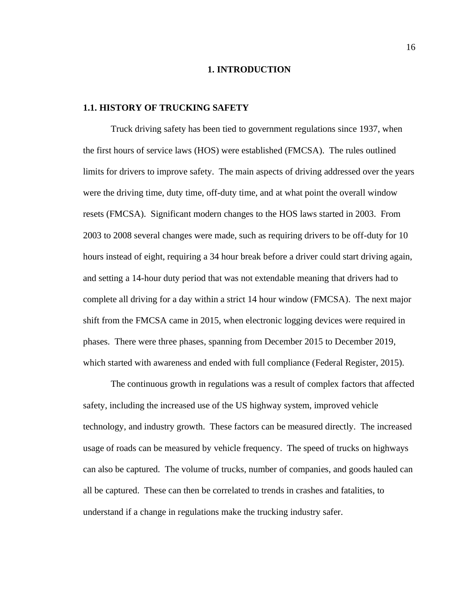#### **1. INTRODUCTION**

#### **1.1. HISTORY OF TRUCKING SAFETY**

Truck driving safety has been tied to government regulations since 1937, when the first hours of service laws (HOS) were established (FMCSA). The rules outlined limits for drivers to improve safety. The main aspects of driving addressed over the years were the driving time, duty time, off-duty time, and at what point the overall window resets (FMCSA). Significant modern changes to the HOS laws started in 2003. From 2003 to 2008 several changes were made, such as requiring drivers to be off-duty for 10 hours instead of eight, requiring a 34 hour break before a driver could start driving again, and setting a 14-hour duty period that was not extendable meaning that drivers had to complete all driving for a day within a strict 14 hour window (FMCSA). The next major shift from the FMCSA came in 2015, when electronic logging devices were required in phases. There were three phases, spanning from December 2015 to December 2019, which started with awareness and ended with full compliance (Federal Register, 2015).

The continuous growth in regulations was a result of complex factors that affected safety, including the increased use of the US highway system, improved vehicle technology, and industry growth. These factors can be measured directly. The increased usage of roads can be measured by vehicle frequency. The speed of trucks on highways can also be captured. The volume of trucks, number of companies, and goods hauled can all be captured. These can then be correlated to trends in crashes and fatalities, to understand if a change in regulations make the trucking industry safer.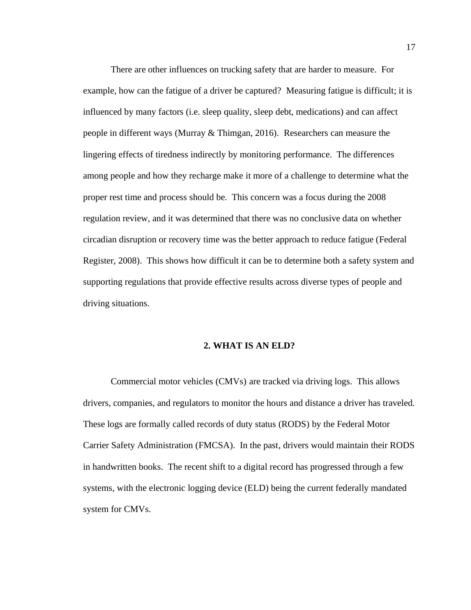There are other influences on trucking safety that are harder to measure. For example, how can the fatigue of a driver be captured? Measuring fatigue is difficult; it is influenced by many factors (i.e. sleep quality, sleep debt, medications) and can affect people in different ways (Murray & Thimgan, 2016). Researchers can measure the lingering effects of tiredness indirectly by monitoring performance. The differences among people and how they recharge make it more of a challenge to determine what the proper rest time and process should be. This concern was a focus during the 2008 regulation review, and it was determined that there was no conclusive data on whether circadian disruption or recovery time was the better approach to reduce fatigue (Federal Register, 2008). This shows how difficult it can be to determine both a safety system and supporting regulations that provide effective results across diverse types of people and driving situations.

#### **2. WHAT IS AN ELD?**

Commercial motor vehicles (CMVs) are tracked via driving logs. This allows drivers, companies, and regulators to monitor the hours and distance a driver has traveled. These logs are formally called records of duty status (RODS) by the Federal Motor Carrier Safety Administration (FMCSA). In the past, drivers would maintain their RODS in handwritten books. The recent shift to a digital record has progressed through a few systems, with the electronic logging device (ELD) being the current federally mandated system for CMVs.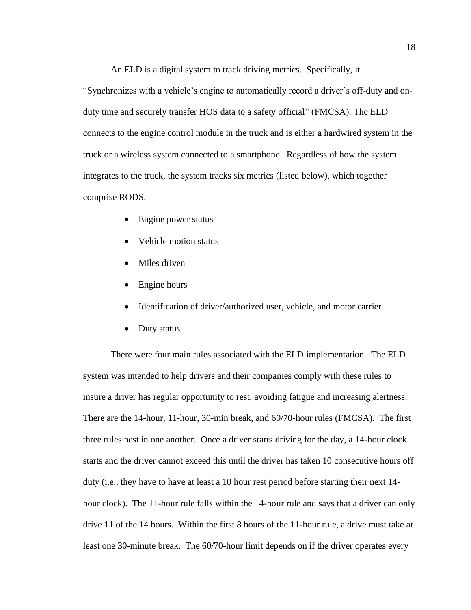An ELD is a digital system to track driving metrics. Specifically, it

"Synchronizes with a vehicle's engine to automatically record a driver's off-duty and onduty time and securely transfer HOS data to a safety official" (FMCSA). The ELD connects to the engine control module in the truck and is either a hardwired system in the truck or a wireless system connected to a smartphone. Regardless of how the system integrates to the truck, the system tracks six metrics (listed below), which together comprise RODS.

- Engine power status
- Vehicle motion status
- Miles driven
- Engine hours
- Identification of driver/authorized user, vehicle, and motor carrier
- Duty status

There were four main rules associated with the ELD implementation. The ELD system was intended to help drivers and their companies comply with these rules to insure a driver has regular opportunity to rest, avoiding fatigue and increasing alertness. There are the 14-hour, 11-hour, 30-min break, and 60/70-hour rules (FMCSA). The first three rules nest in one another. Once a driver starts driving for the day, a 14-hour clock starts and the driver cannot exceed this until the driver has taken 10 consecutive hours off duty (i.e., they have to have at least a 10 hour rest period before starting their next 14 hour clock). The 11-hour rule falls within the 14-hour rule and says that a driver can only drive 11 of the 14 hours. Within the first 8 hours of the 11-hour rule, a drive must take at least one 30-minute break. The 60/70-hour limit depends on if the driver operates every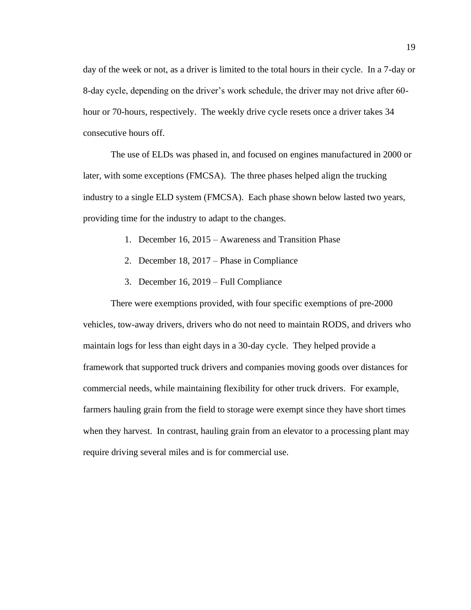day of the week or not, as a driver is limited to the total hours in their cycle. In a 7-day or 8-day cycle, depending on the driver's work schedule, the driver may not drive after 60 hour or 70-hours, respectively. The weekly drive cycle resets once a driver takes 34 consecutive hours off.

The use of ELDs was phased in, and focused on engines manufactured in 2000 or later, with some exceptions (FMCSA). The three phases helped align the trucking industry to a single ELD system (FMCSA). Each phase shown below lasted two years, providing time for the industry to adapt to the changes.

- 1. December 16, 2015 Awareness and Transition Phase
- 2. December 18, 2017 Phase in Compliance
- 3. December 16, 2019 Full Compliance

There were exemptions provided, with four specific exemptions of pre-2000 vehicles, tow-away drivers, drivers who do not need to maintain RODS, and drivers who maintain logs for less than eight days in a 30-day cycle. They helped provide a framework that supported truck drivers and companies moving goods over distances for commercial needs, while maintaining flexibility for other truck drivers. For example, farmers hauling grain from the field to storage were exempt since they have short times when they harvest. In contrast, hauling grain from an elevator to a processing plant may require driving several miles and is for commercial use.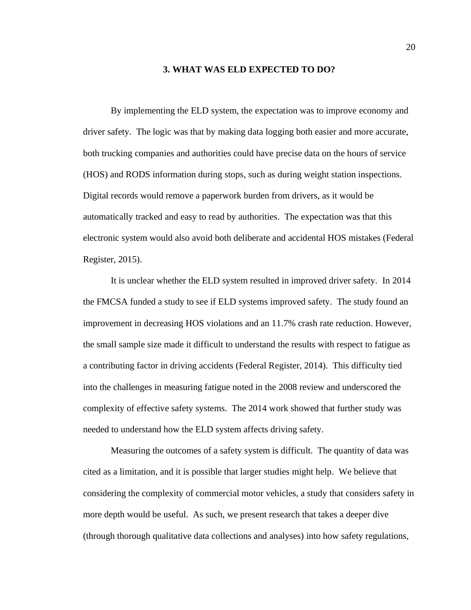#### **3. WHAT WAS ELD EXPECTED TO DO?**

By implementing the ELD system, the expectation was to improve economy and driver safety. The logic was that by making data logging both easier and more accurate, both trucking companies and authorities could have precise data on the hours of service (HOS) and RODS information during stops, such as during weight station inspections. Digital records would remove a paperwork burden from drivers, as it would be automatically tracked and easy to read by authorities. The expectation was that this electronic system would also avoid both deliberate and accidental HOS mistakes (Federal Register, 2015).

It is unclear whether the ELD system resulted in improved driver safety. In 2014 the FMCSA funded a study to see if ELD systems improved safety. The study found an improvement in decreasing HOS violations and an 11.7% crash rate reduction. However, the small sample size made it difficult to understand the results with respect to fatigue as a contributing factor in driving accidents (Federal Register, 2014). This difficulty tied into the challenges in measuring fatigue noted in the 2008 review and underscored the complexity of effective safety systems. The 2014 work showed that further study was needed to understand how the ELD system affects driving safety.

Measuring the outcomes of a safety system is difficult. The quantity of data was cited as a limitation, and it is possible that larger studies might help. We believe that considering the complexity of commercial motor vehicles, a study that considers safety in more depth would be useful. As such, we present research that takes a deeper dive (through thorough qualitative data collections and analyses) into how safety regulations,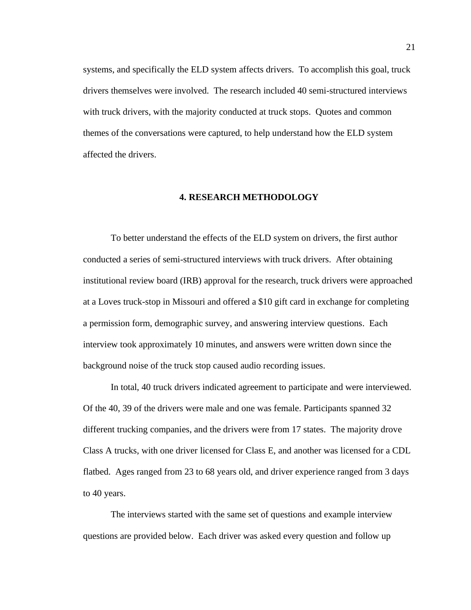systems, and specifically the ELD system affects drivers. To accomplish this goal, truck drivers themselves were involved. The research included 40 semi-structured interviews with truck drivers, with the majority conducted at truck stops. Quotes and common themes of the conversations were captured, to help understand how the ELD system affected the drivers.

#### **4. RESEARCH METHODOLOGY**

To better understand the effects of the ELD system on drivers, the first author conducted a series of semi-structured interviews with truck drivers. After obtaining institutional review board (IRB) approval for the research, truck drivers were approached at a Loves truck-stop in Missouri and offered a \$10 gift card in exchange for completing a permission form, demographic survey, and answering interview questions. Each interview took approximately 10 minutes, and answers were written down since the background noise of the truck stop caused audio recording issues.

In total, 40 truck drivers indicated agreement to participate and were interviewed. Of the 40, 39 of the drivers were male and one was female. Participants spanned 32 different trucking companies, and the drivers were from 17 states. The majority drove Class A trucks, with one driver licensed for Class E, and another was licensed for a CDL flatbed. Ages ranged from 23 to 68 years old, and driver experience ranged from 3 days to 40 years.

The interviews started with the same set of questions and example interview questions are provided below. Each driver was asked every question and follow up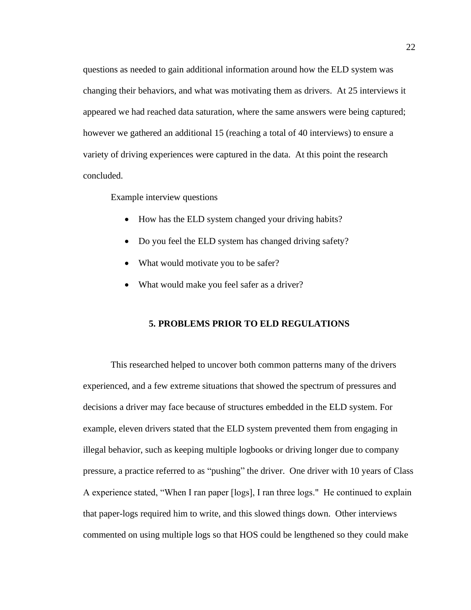questions as needed to gain additional information around how the ELD system was changing their behaviors, and what was motivating them as drivers. At 25 interviews it appeared we had reached data saturation, where the same answers were being captured; however we gathered an additional 15 (reaching a total of 40 interviews) to ensure a variety of driving experiences were captured in the data. At this point the research concluded.

Example interview questions

- How has the ELD system changed your driving habits?
- Do you feel the ELD system has changed driving safety?
- What would motivate you to be safer?
- What would make you feel safer as a driver?

#### **5. PROBLEMS PRIOR TO ELD REGULATIONS**

This researched helped to uncover both common patterns many of the drivers experienced, and a few extreme situations that showed the spectrum of pressures and decisions a driver may face because of structures embedded in the ELD system. For example, eleven drivers stated that the ELD system prevented them from engaging in illegal behavior, such as keeping multiple logbooks or driving longer due to company pressure, a practice referred to as "pushing" the driver. One driver with 10 years of Class A experience stated, "When I ran paper [logs], I ran three logs." He continued to explain that paper-logs required him to write, and this slowed things down. Other interviews commented on using multiple logs so that HOS could be lengthened so they could make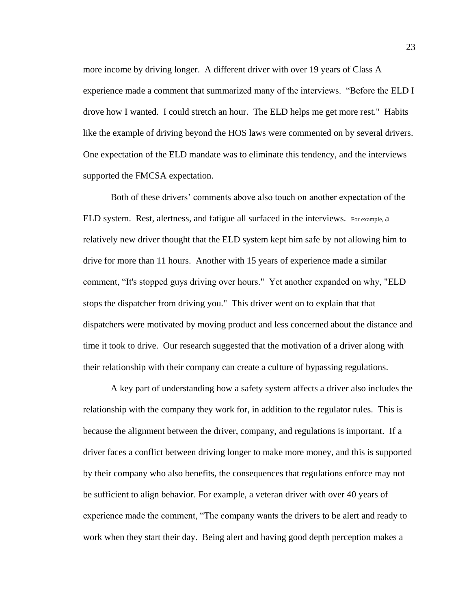more income by driving longer. A different driver with over 19 years of Class A experience made a comment that summarized many of the interviews. "Before the ELD I drove how I wanted. I could stretch an hour. The ELD helps me get more rest." Habits like the example of driving beyond the HOS laws were commented on by several drivers. One expectation of the ELD mandate was to eliminate this tendency, and the interviews supported the FMCSA expectation.

Both of these drivers' comments above also touch on another expectation of the ELD system. Rest, alertness, and fatigue all surfaced in the interviews. For example, a relatively new driver thought that the ELD system kept him safe by not allowing him to drive for more than 11 hours. Another with 15 years of experience made a similar comment, "It's stopped guys driving over hours." Yet another expanded on why, "ELD stops the dispatcher from driving you." This driver went on to explain that that dispatchers were motivated by moving product and less concerned about the distance and time it took to drive. Our research suggested that the motivation of a driver along with their relationship with their company can create a culture of bypassing regulations.

A key part of understanding how a safety system affects a driver also includes the relationship with the company they work for, in addition to the regulator rules. This is because the alignment between the driver, company, and regulations is important. If a driver faces a conflict between driving longer to make more money, and this is supported by their company who also benefits, the consequences that regulations enforce may not be sufficient to align behavior. For example, a veteran driver with over 40 years of experience made the comment, "The company wants the drivers to be alert and ready to work when they start their day. Being alert and having good depth perception makes a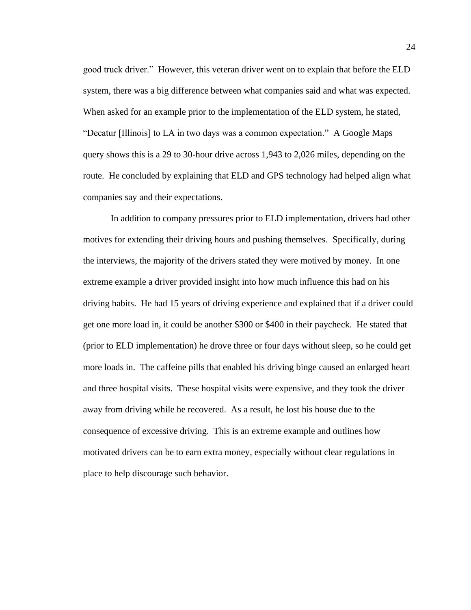good truck driver." However, this veteran driver went on to explain that before the ELD system, there was a big difference between what companies said and what was expected. When asked for an example prior to the implementation of the ELD system, he stated, "Decatur [Illinois] to LA in two days was a common expectation." A Google Maps query shows this is a 29 to 30-hour drive across 1,943 to 2,026 miles, depending on the route. He concluded by explaining that ELD and GPS technology had helped align what companies say and their expectations.

In addition to company pressures prior to ELD implementation, drivers had other motives for extending their driving hours and pushing themselves. Specifically, during the interviews, the majority of the drivers stated they were motived by money. In one extreme example a driver provided insight into how much influence this had on his driving habits. He had 15 years of driving experience and explained that if a driver could get one more load in, it could be another \$300 or \$400 in their paycheck. He stated that (prior to ELD implementation) he drove three or four days without sleep, so he could get more loads in. The caffeine pills that enabled his driving binge caused an enlarged heart and three hospital visits. These hospital visits were expensive, and they took the driver away from driving while he recovered. As a result, he lost his house due to the consequence of excessive driving. This is an extreme example and outlines how motivated drivers can be to earn extra money, especially without clear regulations in place to help discourage such behavior.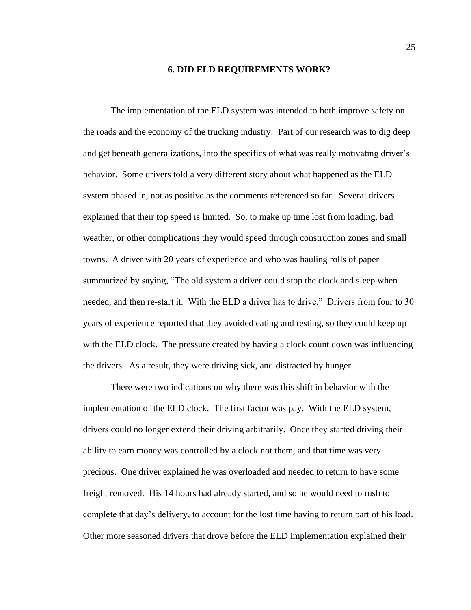#### **6. DID ELD REQUIREMENTS WORK?**

The implementation of the ELD system was intended to both improve safety on the roads and the economy of the trucking industry. Part of our research was to dig deep and get beneath generalizations, into the specifics of what was really motivating driver's behavior. Some drivers told a very different story about what happened as the ELD system phased in, not as positive as the comments referenced so far. Several drivers explained that their top speed is limited. So, to make up time lost from loading, bad weather, or other complications they would speed through construction zones and small towns. A driver with 20 years of experience and who was hauling rolls of paper summarized by saying, "The old system a driver could stop the clock and sleep when needed, and then re-start it. With the ELD a driver has to drive." Drivers from four to 30 years of experience reported that they avoided eating and resting, so they could keep up with the ELD clock. The pressure created by having a clock count down was influencing the drivers. As a result, they were driving sick, and distracted by hunger.

There were two indications on why there was this shift in behavior with the implementation of the ELD clock. The first factor was pay. With the ELD system, drivers could no longer extend their driving arbitrarily. Once they started driving their ability to earn money was controlled by a clock not them, and that time was very precious. One driver explained he was overloaded and needed to return to have some freight removed. His 14 hours had already started, and so he would need to rush to complete that day's delivery, to account for the lost time having to return part of his load. Other more seasoned drivers that drove before the ELD implementation explained their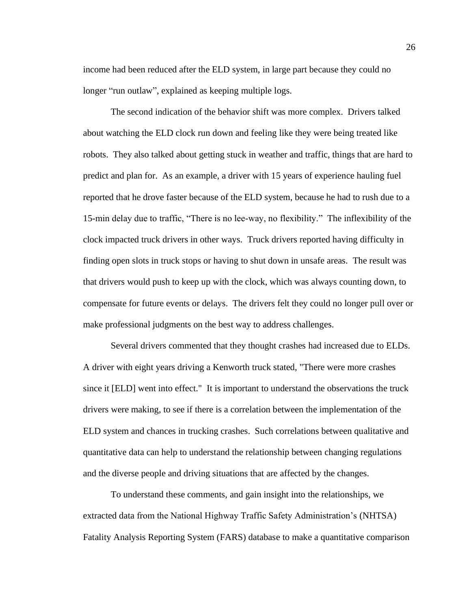income had been reduced after the ELD system, in large part because they could no longer "run outlaw", explained as keeping multiple logs.

The second indication of the behavior shift was more complex. Drivers talked about watching the ELD clock run down and feeling like they were being treated like robots. They also talked about getting stuck in weather and traffic, things that are hard to predict and plan for. As an example, a driver with 15 years of experience hauling fuel reported that he drove faster because of the ELD system, because he had to rush due to a 15-min delay due to traffic, "There is no lee-way, no flexibility." The inflexibility of the clock impacted truck drivers in other ways. Truck drivers reported having difficulty in finding open slots in truck stops or having to shut down in unsafe areas. The result was that drivers would push to keep up with the clock, which was always counting down, to compensate for future events or delays. The drivers felt they could no longer pull over or make professional judgments on the best way to address challenges.

Several drivers commented that they thought crashes had increased due to ELDs. A driver with eight years driving a Kenworth truck stated, "There were more crashes since it [ELD] went into effect." It is important to understand the observations the truck drivers were making, to see if there is a correlation between the implementation of the ELD system and chances in trucking crashes. Such correlations between qualitative and quantitative data can help to understand the relationship between changing regulations and the diverse people and driving situations that are affected by the changes.

To understand these comments, and gain insight into the relationships, we extracted data from the National Highway Traffic Safety Administration's (NHTSA) Fatality Analysis Reporting System (FARS) database to make a quantitative comparison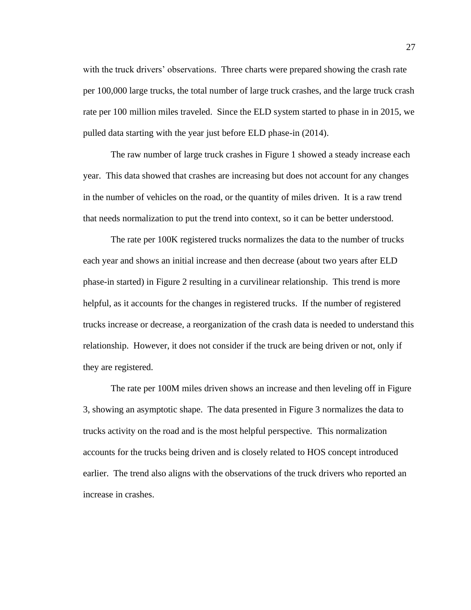with the truck drivers' observations. Three charts were prepared showing the crash rate per 100,000 large trucks, the total number of large truck crashes, and the large truck crash rate per 100 million miles traveled. Since the ELD system started to phase in in 2015, we pulled data starting with the year just before ELD phase-in (2014).

The raw number of large truck crashes in Figure 1 showed a steady increase each year. This data showed that crashes are increasing but does not account for any changes in the number of vehicles on the road, or the quantity of miles driven. It is a raw trend that needs normalization to put the trend into context, so it can be better understood.

The rate per 100K registered trucks normalizes the data to the number of trucks each year and shows an initial increase and then decrease (about two years after ELD phase-in started) in Figure 2 resulting in a curvilinear relationship. This trend is more helpful, as it accounts for the changes in registered trucks. If the number of registered trucks increase or decrease, a reorganization of the crash data is needed to understand this relationship. However, it does not consider if the truck are being driven or not, only if they are registered.

The rate per 100M miles driven shows an increase and then leveling off in Figure 3, showing an asymptotic shape. The data presented in Figure 3 normalizes the data to trucks activity on the road and is the most helpful perspective. This normalization accounts for the trucks being driven and is closely related to HOS concept introduced earlier. The trend also aligns with the observations of the truck drivers who reported an increase in crashes.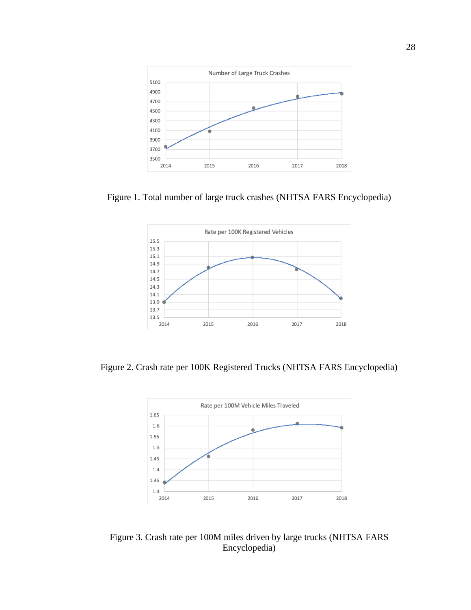

Figure 1. Total number of large truck crashes (NHTSA FARS Encyclopedia)



Figure 2. Crash rate per 100K Registered Trucks (NHTSA FARS Encyclopedia)



Figure 3. Crash rate per 100M miles driven by large trucks (NHTSA FARS Encyclopedia)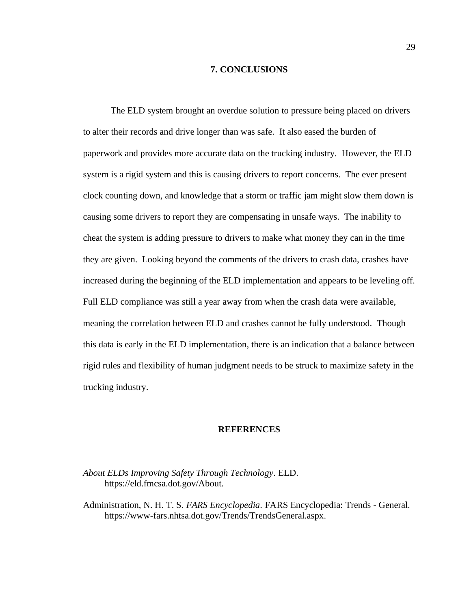## **7. CONCLUSIONS**

The ELD system brought an overdue solution to pressure being placed on drivers to alter their records and drive longer than was safe. It also eased the burden of paperwork and provides more accurate data on the trucking industry. However, the ELD system is a rigid system and this is causing drivers to report concerns. The ever present clock counting down, and knowledge that a storm or traffic jam might slow them down is causing some drivers to report they are compensating in unsafe ways. The inability to cheat the system is adding pressure to drivers to make what money they can in the time they are given. Looking beyond the comments of the drivers to crash data, crashes have increased during the beginning of the ELD implementation and appears to be leveling off. Full ELD compliance was still a year away from when the crash data were available, meaning the correlation between ELD and crashes cannot be fully understood. Though this data is early in the ELD implementation, there is an indication that a balance between rigid rules and flexibility of human judgment needs to be struck to maximize safety in the trucking industry.

### **REFERENCES**

*About ELDs Improving Safety Through Technology*. ELD. https://eld.fmcsa.dot.gov/About.

Administration, N. H. T. S. *FARS Encyclopedia*. FARS Encyclopedia: Trends - General. https://www-fars.nhtsa.dot.gov/Trends/TrendsGeneral.aspx.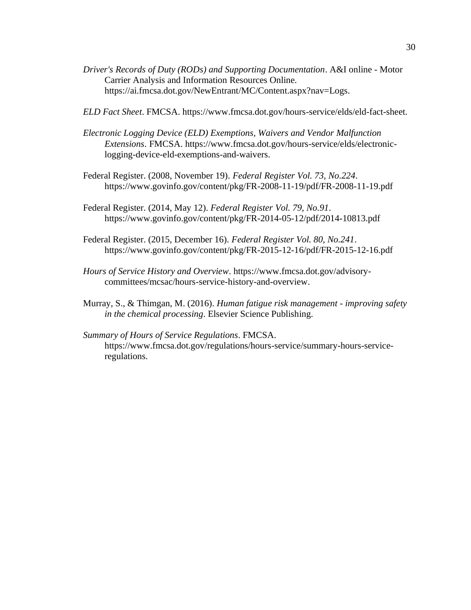- *Driver's Records of Duty (RODs) and Supporting Documentation*. A&I online Motor Carrier Analysis and Information Resources Online. https://ai.fmcsa.dot.gov/NewEntrant/MC/Content.aspx?nav=Logs.
- *ELD Fact Sheet*. FMCSA. https://www.fmcsa.dot.gov/hours-service/elds/eld-fact-sheet.
- *Electronic Logging Device (ELD) Exemptions, Waivers and Vendor Malfunction Extensions*. FMCSA. https://www.fmcsa.dot.gov/hours-service/elds/electroniclogging-device-eld-exemptions-and-waivers.
- Federal Register. (2008, November 19). *Federal Register Vol. 73, No.224*. https://www.govinfo.gov/content/pkg/FR-2008-11-19/pdf/FR-2008-11-19.pdf
- Federal Register. (2014, May 12). *Federal Register Vol. 79, No.91*. https://www.govinfo.gov/content/pkg/FR-2014-05-12/pdf/2014-10813.pdf
- Federal Register. (2015, December 16). *Federal Register Vol. 80, No.241*. https://www.govinfo.gov/content/pkg/FR-2015-12-16/pdf/FR-2015-12-16.pdf
- *Hours of Service History and Overview*. https://www.fmcsa.dot.gov/advisorycommittees/mcsac/hours-service-history-and-overview.
- Murray, S., & Thimgan, M. (2016). *Human fatigue risk management - improving safety in the chemical processing*. Elsevier Science Publishing.
- *Summary of Hours of Service Regulations*. FMCSA. https://www.fmcsa.dot.gov/regulations/hours-service/summary-hours-serviceregulations.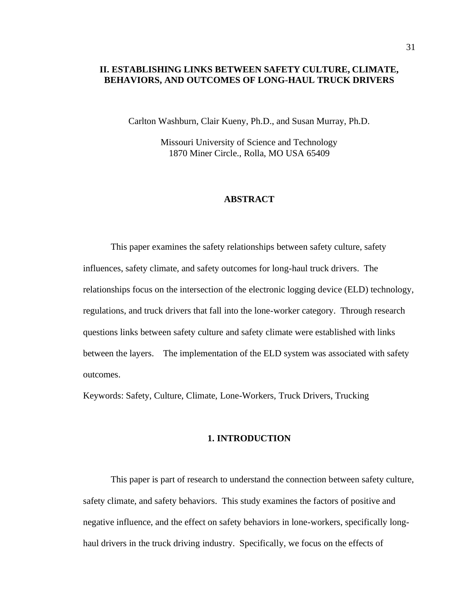# **II. ESTABLISHING LINKS BETWEEN SAFETY CULTURE, CLIMATE, BEHAVIORS, AND OUTCOMES OF LONG-HAUL TRUCK DRIVERS**

Carlton Washburn, Clair Kueny, Ph.D., and Susan Murray, Ph.D.

Missouri University of Science and Technology 1870 Miner Circle., Rolla, MO USA 65409

# **ABSTRACT**

This paper examines the safety relationships between safety culture, safety influences, safety climate, and safety outcomes for long-haul truck drivers. The relationships focus on the intersection of the electronic logging device (ELD) technology, regulations, and truck drivers that fall into the lone-worker category. Through research questions links between safety culture and safety climate were established with links between the layers. The implementation of the ELD system was associated with safety outcomes.

Keywords: Safety, Culture, Climate, Lone-Workers, Truck Drivers, Trucking

### **1. INTRODUCTION**

This paper is part of research to understand the connection between safety culture, safety climate, and safety behaviors. This study examines the factors of positive and negative influence, and the effect on safety behaviors in lone-workers, specifically longhaul drivers in the truck driving industry. Specifically, we focus on the effects of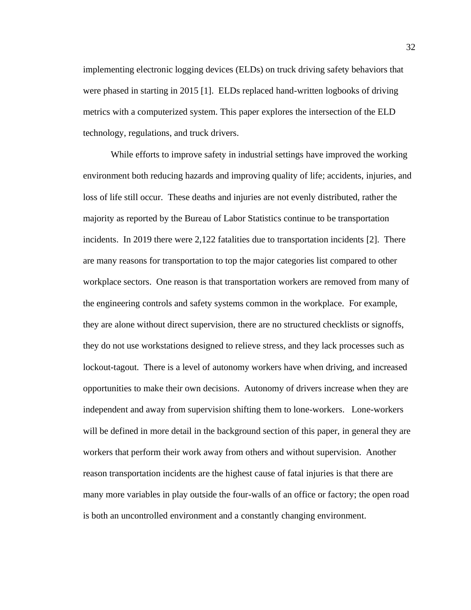implementing electronic logging devices (ELDs) on truck driving safety behaviors that were phased in starting in 2015 [1]. ELDs replaced hand-written logbooks of driving metrics with a computerized system. This paper explores the intersection of the ELD technology, regulations, and truck drivers.

While efforts to improve safety in industrial settings have improved the working environment both reducing hazards and improving quality of life; accidents, injuries, and loss of life still occur. These deaths and injuries are not evenly distributed, rather the majority as reported by the Bureau of Labor Statistics continue to be transportation incidents. In 2019 there were 2,122 fatalities due to transportation incidents [2]. There are many reasons for transportation to top the major categories list compared to other workplace sectors. One reason is that transportation workers are removed from many of the engineering controls and safety systems common in the workplace. For example, they are alone without direct supervision, there are no structured checklists or signoffs, they do not use workstations designed to relieve stress, and they lack processes such as lockout-tagout. There is a level of autonomy workers have when driving, and increased opportunities to make their own decisions. Autonomy of drivers increase when they are independent and away from supervision shifting them to lone-workers. Lone-workers will be defined in more detail in the background section of this paper, in general they are workers that perform their work away from others and without supervision. Another reason transportation incidents are the highest cause of fatal injuries is that there are many more variables in play outside the four-walls of an office or factory; the open road is both an uncontrolled environment and a constantly changing environment.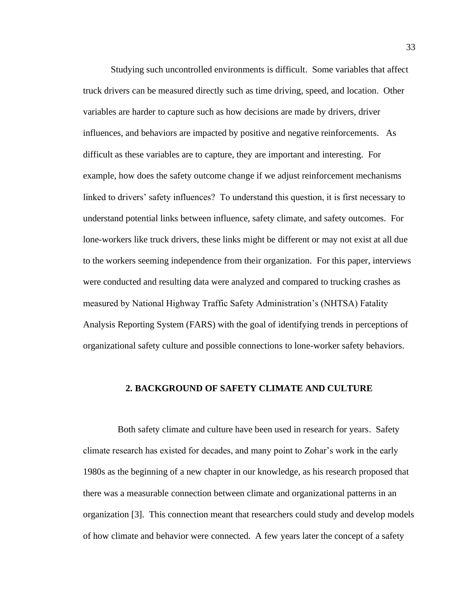Studying such uncontrolled environments is difficult. Some variables that affect truck drivers can be measured directly such as time driving, speed, and location. Other variables are harder to capture such as how decisions are made by drivers, driver influences, and behaviors are impacted by positive and negative reinforcements. As difficult as these variables are to capture, they are important and interesting. For example, how does the safety outcome change if we adjust reinforcement mechanisms linked to drivers' safety influences? To understand this question, it is first necessary to understand potential links between influence, safety climate, and safety outcomes. For lone-workers like truck drivers, these links might be different or may not exist at all due to the workers seeming independence from their organization. For this paper, interviews were conducted and resulting data were analyzed and compared to trucking crashes as measured by National Highway Traffic Safety Administration's (NHTSA) Fatality Analysis Reporting System (FARS) with the goal of identifying trends in perceptions of organizational safety culture and possible connections to lone-worker safety behaviors.

#### **2. BACKGROUND OF SAFETY CLIMATE AND CULTURE**

 Both safety climate and culture have been used in research for years. Safety climate research has existed for decades, and many point to Zohar's work in the early 1980s as the beginning of a new chapter in our knowledge, as his research proposed that there was a measurable connection between climate and organizational patterns in an organization [3]. This connection meant that researchers could study and develop models of how climate and behavior were connected. A few years later the concept of a safety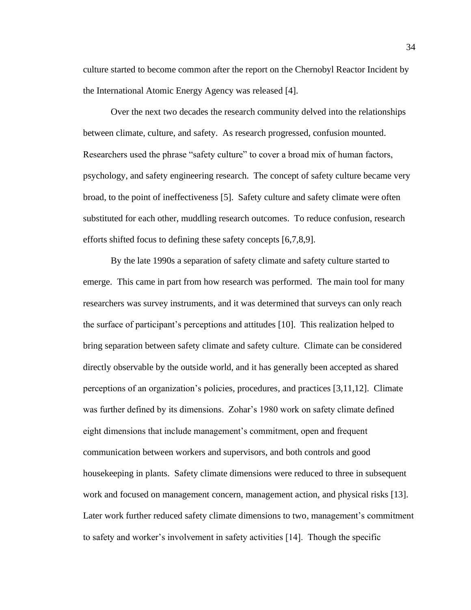culture started to become common after the report on the Chernobyl Reactor Incident by the International Atomic Energy Agency was released [4].

Over the next two decades the research community delved into the relationships between climate, culture, and safety. As research progressed, confusion mounted. Researchers used the phrase "safety culture" to cover a broad mix of human factors, psychology, and safety engineering research. The concept of safety culture became very broad, to the point of ineffectiveness [5]. Safety culture and safety climate were often substituted for each other, muddling research outcomes. To reduce confusion, research efforts shifted focus to defining these safety concepts [6,7,8,9].

By the late 1990s a separation of safety climate and safety culture started to emerge. This came in part from how research was performed. The main tool for many researchers was survey instruments, and it was determined that surveys can only reach the surface of participant's perceptions and attitudes [10]. This realization helped to bring separation between safety climate and safety culture. Climate can be considered directly observable by the outside world, and it has generally been accepted as shared perceptions of an organization's policies, procedures, and practices [3,11,12]. Climate was further defined by its dimensions. Zohar's 1980 work on safety climate defined eight dimensions that include management's commitment, open and frequent communication between workers and supervisors, and both controls and good housekeeping in plants. Safety climate dimensions were reduced to three in subsequent work and focused on management concern, management action, and physical risks [13]. Later work further reduced safety climate dimensions to two, management's commitment to safety and worker's involvement in safety activities [14]. Though the specific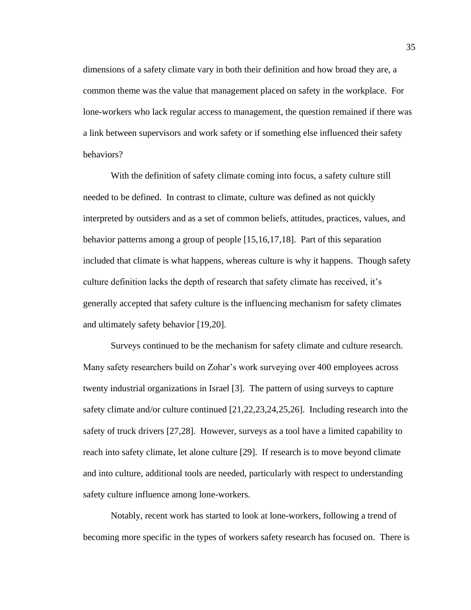dimensions of a safety climate vary in both their definition and how broad they are, a common theme was the value that management placed on safety in the workplace. For lone-workers who lack regular access to management, the question remained if there was a link between supervisors and work safety or if something else influenced their safety behaviors?

With the definition of safety climate coming into focus, a safety culture still needed to be defined. In contrast to climate, culture was defined as not quickly interpreted by outsiders and as a set of common beliefs, attitudes, practices, values, and behavior patterns among a group of people [15,16,17,18]. Part of this separation included that climate is what happens, whereas culture is why it happens. Though safety culture definition lacks the depth of research that safety climate has received, it's generally accepted that safety culture is the influencing mechanism for safety climates and ultimately safety behavior [19,20].

Surveys continued to be the mechanism for safety climate and culture research. Many safety researchers build on Zohar's work surveying over 400 employees across twenty industrial organizations in Israel [3]. The pattern of using surveys to capture safety climate and/or culture continued [21,22,23,24,25,26]. Including research into the safety of truck drivers [27,28]. However, surveys as a tool have a limited capability to reach into safety climate, let alone culture [29]. If research is to move beyond climate and into culture, additional tools are needed, particularly with respect to understanding safety culture influence among lone-workers.

Notably, recent work has started to look at lone-workers, following a trend of becoming more specific in the types of workers safety research has focused on. There is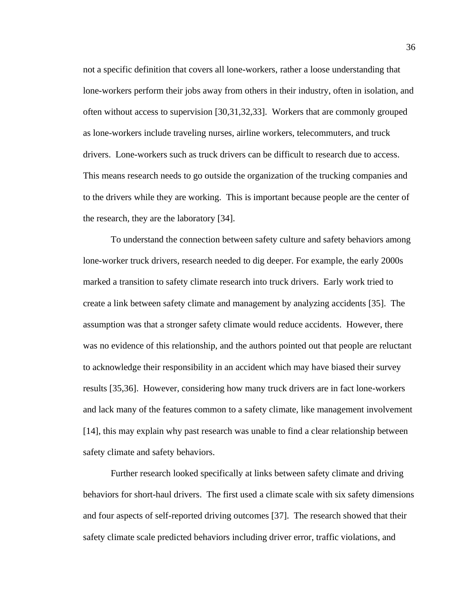not a specific definition that covers all lone-workers, rather a loose understanding that lone-workers perform their jobs away from others in their industry, often in isolation, and often without access to supervision [30,31,32,33]. Workers that are commonly grouped as lone-workers include traveling nurses, airline workers, telecommuters, and truck drivers. Lone-workers such as truck drivers can be difficult to research due to access. This means research needs to go outside the organization of the trucking companies and to the drivers while they are working. This is important because people are the center of the research, they are the laboratory [34].

To understand the connection between safety culture and safety behaviors among lone-worker truck drivers, research needed to dig deeper. For example, the early 2000s marked a transition to safety climate research into truck drivers. Early work tried to create a link between safety climate and management by analyzing accidents [35]. The assumption was that a stronger safety climate would reduce accidents. However, there was no evidence of this relationship, and the authors pointed out that people are reluctant to acknowledge their responsibility in an accident which may have biased their survey results [35,36]. However, considering how many truck drivers are in fact lone-workers and lack many of the features common to a safety climate, like management involvement [14], this may explain why past research was unable to find a clear relationship between safety climate and safety behaviors.

Further research looked specifically at links between safety climate and driving behaviors for short-haul drivers. The first used a climate scale with six safety dimensions and four aspects of self-reported driving outcomes [37]. The research showed that their safety climate scale predicted behaviors including driver error, traffic violations, and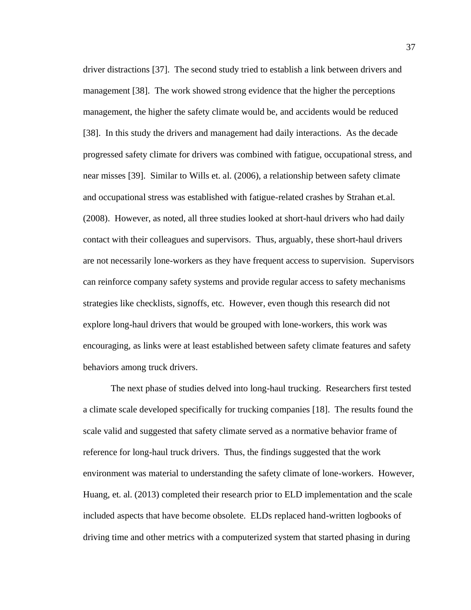driver distractions [37]. The second study tried to establish a link between drivers and management [38]. The work showed strong evidence that the higher the perceptions management, the higher the safety climate would be, and accidents would be reduced [38]. In this study the drivers and management had daily interactions. As the decade progressed safety climate for drivers was combined with fatigue, occupational stress, and near misses [39]. Similar to Wills et. al. (2006), a relationship between safety climate and occupational stress was established with fatigue-related crashes by Strahan et.al. (2008). However, as noted, all three studies looked at short-haul drivers who had daily contact with their colleagues and supervisors. Thus, arguably, these short-haul drivers are not necessarily lone-workers as they have frequent access to supervision. Supervisors can reinforce company safety systems and provide regular access to safety mechanisms strategies like checklists, signoffs, etc. However, even though this research did not explore long-haul drivers that would be grouped with lone-workers, this work was encouraging, as links were at least established between safety climate features and safety behaviors among truck drivers.

The next phase of studies delved into long-haul trucking. Researchers first tested a climate scale developed specifically for trucking companies [18]. The results found the scale valid and suggested that safety climate served as a normative behavior frame of reference for long-haul truck drivers. Thus, the findings suggested that the work environment was material to understanding the safety climate of lone-workers. However, Huang, et. al. (2013) completed their research prior to ELD implementation and the scale included aspects that have become obsolete. ELDs replaced hand-written logbooks of driving time and other metrics with a computerized system that started phasing in during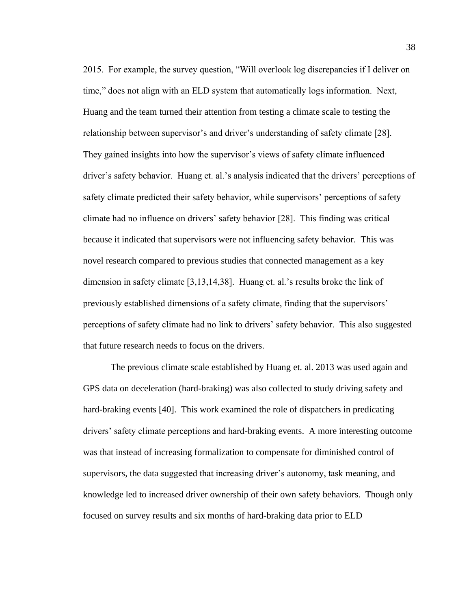2015. For example, the survey question, "Will overlook log discrepancies if I deliver on time," does not align with an ELD system that automatically logs information. Next, Huang and the team turned their attention from testing a climate scale to testing the relationship between supervisor's and driver's understanding of safety climate [28]. They gained insights into how the supervisor's views of safety climate influenced driver's safety behavior. Huang et. al.'s analysis indicated that the drivers' perceptions of safety climate predicted their safety behavior, while supervisors' perceptions of safety climate had no influence on drivers' safety behavior [28]. This finding was critical because it indicated that supervisors were not influencing safety behavior. This was novel research compared to previous studies that connected management as a key dimension in safety climate [3,13,14,38]. Huang et. al.'s results broke the link of previously established dimensions of a safety climate, finding that the supervisors' perceptions of safety climate had no link to drivers' safety behavior. This also suggested that future research needs to focus on the drivers.

The previous climate scale established by Huang et. al. 2013 was used again and GPS data on deceleration (hard-braking) was also collected to study driving safety and hard-braking events [40]. This work examined the role of dispatchers in predicating drivers' safety climate perceptions and hard-braking events. A more interesting outcome was that instead of increasing formalization to compensate for diminished control of supervisors, the data suggested that increasing driver's autonomy, task meaning, and knowledge led to increased driver ownership of their own safety behaviors. Though only focused on survey results and six months of hard-braking data prior to ELD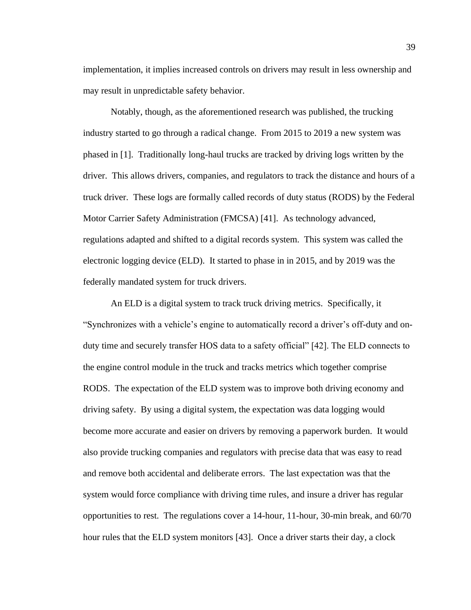implementation, it implies increased controls on drivers may result in less ownership and may result in unpredictable safety behavior.

Notably, though, as the aforementioned research was published, the trucking industry started to go through a radical change. From 2015 to 2019 a new system was phased in [1]. Traditionally long-haul trucks are tracked by driving logs written by the driver. This allows drivers, companies, and regulators to track the distance and hours of a truck driver. These logs are formally called records of duty status (RODS) by the Federal Motor Carrier Safety Administration (FMCSA) [41]. As technology advanced, regulations adapted and shifted to a digital records system. This system was called the electronic logging device (ELD). It started to phase in in 2015, and by 2019 was the federally mandated system for truck drivers.

An ELD is a digital system to track truck driving metrics. Specifically, it "Synchronizes with a vehicle's engine to automatically record a driver's off-duty and onduty time and securely transfer HOS data to a safety official" [42]. The ELD connects to the engine control module in the truck and tracks metrics which together comprise RODS. The expectation of the ELD system was to improve both driving economy and driving safety. By using a digital system, the expectation was data logging would become more accurate and easier on drivers by removing a paperwork burden. It would also provide trucking companies and regulators with precise data that was easy to read and remove both accidental and deliberate errors. The last expectation was that the system would force compliance with driving time rules, and insure a driver has regular opportunities to rest. The regulations cover a 14-hour, 11-hour, 30-min break, and 60/70 hour rules that the ELD system monitors [43]. Once a driver starts their day, a clock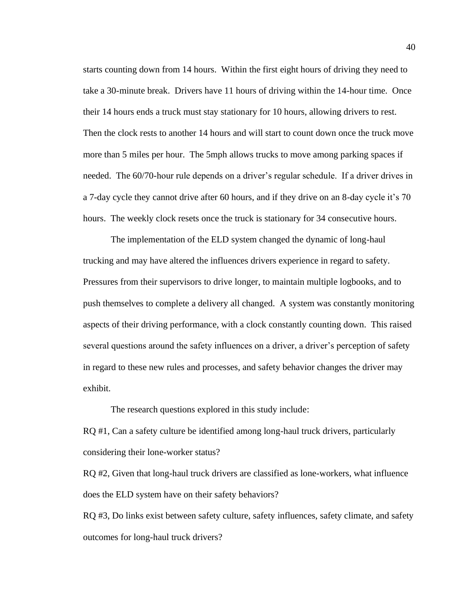starts counting down from 14 hours. Within the first eight hours of driving they need to take a 30-minute break. Drivers have 11 hours of driving within the 14-hour time. Once their 14 hours ends a truck must stay stationary for 10 hours, allowing drivers to rest. Then the clock rests to another 14 hours and will start to count down once the truck move more than 5 miles per hour. The 5mph allows trucks to move among parking spaces if needed. The 60/70-hour rule depends on a driver's regular schedule. If a driver drives in a 7-day cycle they cannot drive after 60 hours, and if they drive on an 8-day cycle it's 70 hours. The weekly clock resets once the truck is stationary for 34 consecutive hours.

The implementation of the ELD system changed the dynamic of long-haul trucking and may have altered the influences drivers experience in regard to safety. Pressures from their supervisors to drive longer, to maintain multiple logbooks, and to push themselves to complete a delivery all changed. A system was constantly monitoring aspects of their driving performance, with a clock constantly counting down. This raised several questions around the safety influences on a driver, a driver's perception of safety in regard to these new rules and processes, and safety behavior changes the driver may exhibit.

The research questions explored in this study include:

RQ #1, Can a safety culture be identified among long-haul truck drivers, particularly considering their lone-worker status?

RQ #2, Given that long-haul truck drivers are classified as lone-workers, what influence does the ELD system have on their safety behaviors?

RQ #3, Do links exist between safety culture, safety influences, safety climate, and safety outcomes for long-haul truck drivers?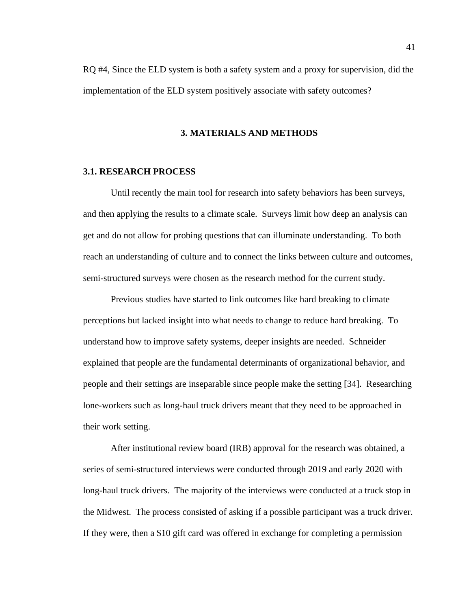RQ #4, Since the ELD system is both a safety system and a proxy for supervision, did the implementation of the ELD system positively associate with safety outcomes?

### **3. MATERIALS AND METHODS**

### **3.1. RESEARCH PROCESS**

Until recently the main tool for research into safety behaviors has been surveys, and then applying the results to a climate scale. Surveys limit how deep an analysis can get and do not allow for probing questions that can illuminate understanding. To both reach an understanding of culture and to connect the links between culture and outcomes, semi-structured surveys were chosen as the research method for the current study.

Previous studies have started to link outcomes like hard breaking to climate perceptions but lacked insight into what needs to change to reduce hard breaking. To understand how to improve safety systems, deeper insights are needed. Schneider explained that people are the fundamental determinants of organizational behavior, and people and their settings are inseparable since people make the setting [34]. Researching lone-workers such as long-haul truck drivers meant that they need to be approached in their work setting.

After institutional review board (IRB) approval for the research was obtained, a series of semi-structured interviews were conducted through 2019 and early 2020 with long-haul truck drivers. The majority of the interviews were conducted at a truck stop in the Midwest. The process consisted of asking if a possible participant was a truck driver. If they were, then a \$10 gift card was offered in exchange for completing a permission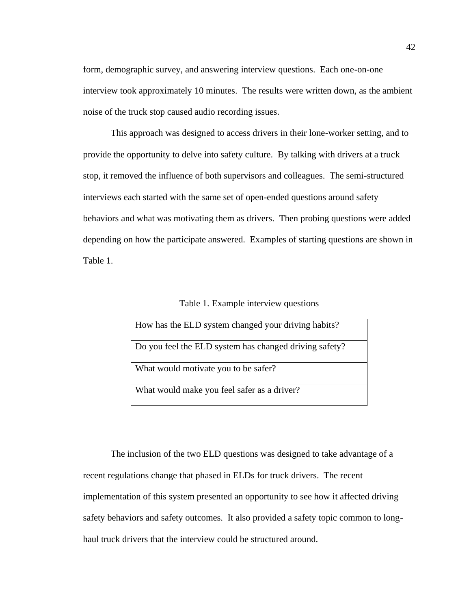form, demographic survey, and answering interview questions. Each one-on-one interview took approximately 10 minutes. The results were written down, as the ambient noise of the truck stop caused audio recording issues.

This approach was designed to access drivers in their lone-worker setting, and to provide the opportunity to delve into safety culture. By talking with drivers at a truck stop, it removed the influence of both supervisors and colleagues. The semi-structured interviews each started with the same set of open-ended questions around safety behaviors and what was motivating them as drivers. Then probing questions were added depending on how the participate answered. Examples of starting questions are shown in Table 1.

Table 1. Example interview questions

| How has the ELD system changed your driving habits?    |
|--------------------------------------------------------|
| Do you feel the ELD system has changed driving safety? |
| What would motivate you to be safer?                   |
| What would make you feel safer as a driver?            |

The inclusion of the two ELD questions was designed to take advantage of a recent regulations change that phased in ELDs for truck drivers. The recent implementation of this system presented an opportunity to see how it affected driving safety behaviors and safety outcomes. It also provided a safety topic common to longhaul truck drivers that the interview could be structured around.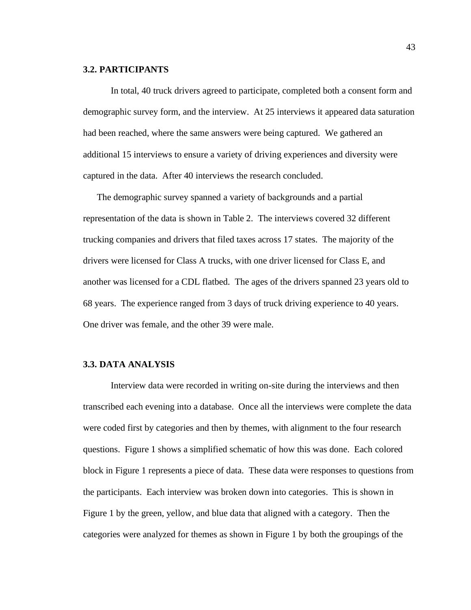# **3.2. PARTICIPANTS**

In total, 40 truck drivers agreed to participate, completed both a consent form and demographic survey form, and the interview. At 25 interviews it appeared data saturation had been reached, where the same answers were being captured. We gathered an additional 15 interviews to ensure a variety of driving experiences and diversity were captured in the data. After 40 interviews the research concluded.

The demographic survey spanned a variety of backgrounds and a partial representation of the data is shown in Table 2. The interviews covered 32 different trucking companies and drivers that filed taxes across 17 states. The majority of the drivers were licensed for Class A trucks, with one driver licensed for Class E, and another was licensed for a CDL flatbed. The ages of the drivers spanned 23 years old to 68 years. The experience ranged from 3 days of truck driving experience to 40 years. One driver was female, and the other 39 were male.

## **3.3. DATA ANALYSIS**

Interview data were recorded in writing on-site during the interviews and then transcribed each evening into a database. Once all the interviews were complete the data were coded first by categories and then by themes, with alignment to the four research questions. Figure 1 shows a simplified schematic of how this was done. Each colored block in Figure 1 represents a piece of data. These data were responses to questions from the participants. Each interview was broken down into categories. This is shown in Figure 1 by the green, yellow, and blue data that aligned with a category. Then the categories were analyzed for themes as shown in Figure 1 by both the groupings of the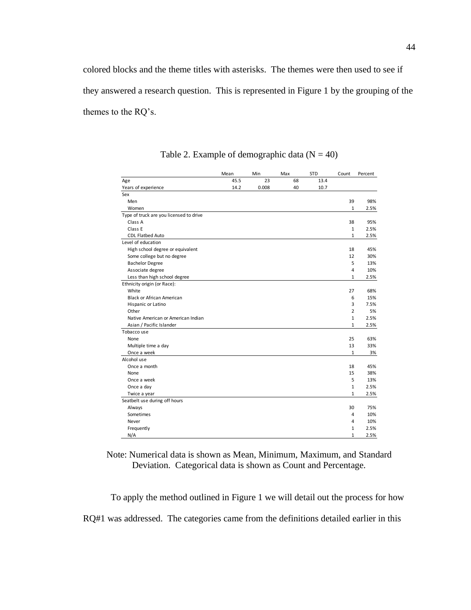colored blocks and the theme titles with asterisks. The themes were then used to see if they answered a research question. This is represented in Figure 1 by the grouping of the themes to the RQ's.

|                                         | Mean | Min   | Max | <b>STD</b> | Count          | Percent |
|-----------------------------------------|------|-------|-----|------------|----------------|---------|
| Age                                     | 45.5 | 23    | 68  | 13.4       |                |         |
| Years of experience                     | 14.2 | 0.008 | 40  | 10.7       |                |         |
| Sex                                     |      |       |     |            |                |         |
| Men                                     |      |       |     |            | 39             | 98%     |
| Women                                   |      |       |     |            | 1              | 2.5%    |
| Type of truck are you licensed to drive |      |       |     |            |                |         |
| Class A                                 |      |       |     |            | 38             | 95%     |
| Class E                                 |      |       |     |            | $\mathbf{1}$   | 2.5%    |
| <b>CDL Flatbed Auto</b>                 |      |       |     |            | $\mathbf{1}$   | 2.5%    |
| Level of education                      |      |       |     |            |                |         |
| High school degree or equivalent        |      |       |     |            | 18             | 45%     |
| Some college but no degree              |      |       |     |            | 12             | 30%     |
| <b>Bachelor Degree</b>                  |      |       |     |            | 5              | 13%     |
| Associate degree                        |      |       |     |            | 4              | 10%     |
| Less than high school degree            |      |       |     |            | 1              | 2.5%    |
| Ethnicity origin (or Race):             |      |       |     |            |                |         |
| White                                   |      |       |     |            | 27             | 68%     |
| <b>Black or African American</b>        |      |       |     |            | 6              | 15%     |
| Hispanic or Latino                      |      |       |     |            | 3              | 7.5%    |
| Other                                   |      |       |     |            | $\overline{2}$ | 5%      |
| Native American or American Indian      |      |       |     |            | $\mathbf{1}$   | 2.5%    |
| Asian / Pacific Islander                |      |       |     |            | 1              | 2.5%    |
| Tobacco use                             |      |       |     |            |                |         |
| None                                    |      |       |     |            | 25             | 63%     |
| Multiple time a day                     |      |       |     |            | 13             | 33%     |
| Once a week                             |      |       |     |            | $\mathbf{1}$   | 3%      |
| Alcohol use                             |      |       |     |            |                |         |
| Once a month                            |      |       |     |            | 18             | 45%     |
| None                                    |      |       |     |            | 15             | 38%     |
| Once a week                             |      |       |     |            | 5              | 13%     |
| Once a day                              |      |       |     |            | $\mathbf{1}$   | 2.5%    |
| Twice a year                            |      |       |     |            | 1              | 2.5%    |
| Seatbelt use during off hours           |      |       |     |            |                |         |
| Always                                  |      |       |     |            | 30             | 75%     |
| Sometimes                               |      |       |     |            | 4              | 10%     |
| Never                                   |      |       |     |            | 4              | 10%     |
| Frequently                              |      |       |     |            | $\mathbf{1}$   | 2.5%    |
| N/A                                     |      |       |     |            | $\mathbf{1}$   | 2.5%    |

Table 2. Example of demographic data  $(N = 40)$ 

Note: Numerical data is shown as Mean, Minimum, Maximum, and Standard Deviation. Categorical data is shown as Count and Percentage.

To apply the method outlined in Figure 1 we will detail out the process for how RQ#1 was addressed. The categories came from the definitions detailed earlier in this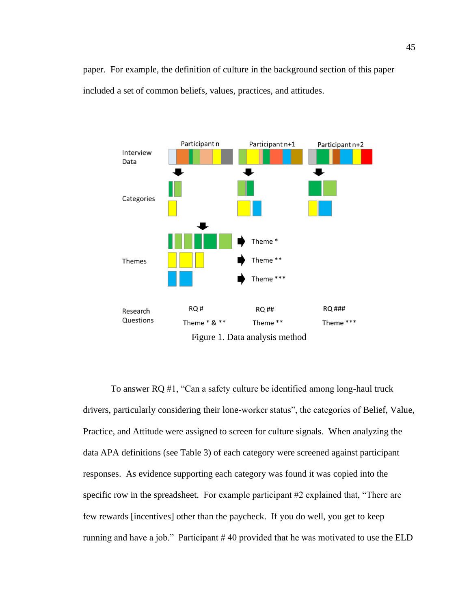paper. For example, the definition of culture in the background section of this paper included a set of common beliefs, values, practices, and attitudes.



To answer RQ #1, "Can a safety culture be identified among long-haul truck drivers, particularly considering their lone-worker status", the categories of Belief, Value, Practice, and Attitude were assigned to screen for culture signals. When analyzing the data APA definitions (see Table 3) of each category were screened against participant responses. As evidence supporting each category was found it was copied into the specific row in the spreadsheet. For example participant #2 explained that, "There are few rewards [incentives] other than the paycheck. If you do well, you get to keep running and have a job." Participant # 40 provided that he was motivated to use the ELD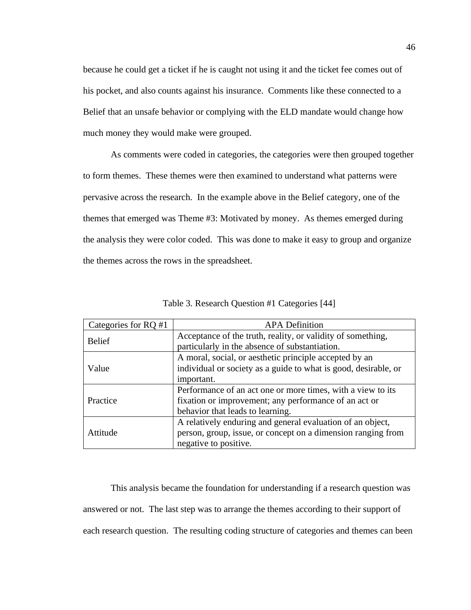because he could get a ticket if he is caught not using it and the ticket fee comes out of his pocket, and also counts against his insurance. Comments like these connected to a Belief that an unsafe behavior or complying with the ELD mandate would change how much money they would make were grouped.

As comments were coded in categories, the categories were then grouped together to form themes. These themes were then examined to understand what patterns were pervasive across the research. In the example above in the Belief category, one of the themes that emerged was Theme #3: Motivated by money. As themes emerged during the analysis they were color coded. This was done to make it easy to group and organize the themes across the rows in the spreadsheet.

| Categories for RQ #1 | <b>APA</b> Definition                                                                                         |  |  |  |  |
|----------------------|---------------------------------------------------------------------------------------------------------------|--|--|--|--|
| <b>Belief</b>        | Acceptance of the truth, reality, or validity of something,<br>particularly in the absence of substantiation. |  |  |  |  |
|                      |                                                                                                               |  |  |  |  |
|                      | A moral, social, or aesthetic principle accepted by an                                                        |  |  |  |  |
| Value                | individual or society as a guide to what is good, desirable, or                                               |  |  |  |  |
|                      | important.                                                                                                    |  |  |  |  |
| Practice             | Performance of an act one or more times, with a view to its                                                   |  |  |  |  |
|                      | fixation or improvement; any performance of an act or                                                         |  |  |  |  |
|                      | behavior that leads to learning.                                                                              |  |  |  |  |
| Attitude             | A relatively enduring and general evaluation of an object,                                                    |  |  |  |  |
|                      | person, group, issue, or concept on a dimension ranging from                                                  |  |  |  |  |
|                      | negative to positive.                                                                                         |  |  |  |  |

Table 3. Research Question #1 Categories [44]

This analysis became the foundation for understanding if a research question was answered or not. The last step was to arrange the themes according to their support of each research question. The resulting coding structure of categories and themes can been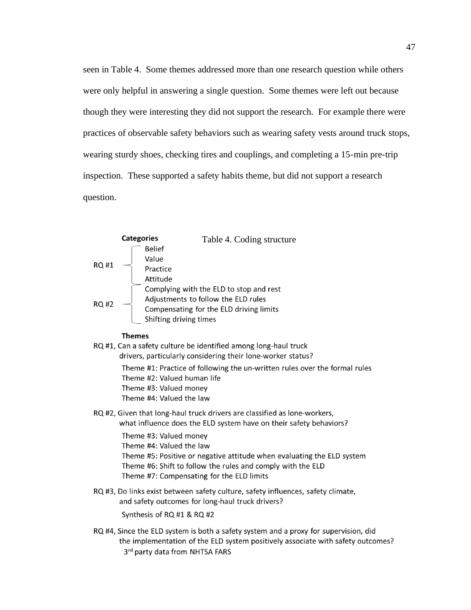seen in Table 4. Some themes addressed more than one research question while others were only helpful in answering a single question. Some themes were left out because though they were interesting they did not support the research. For example there were practices of observable safety behaviors such as wearing safety vests around truck stops, wearing sturdy shoes, checking tires and couplings, and completing a 15-min pre-trip inspection. These supported a safety habits theme, but did not support a research question.

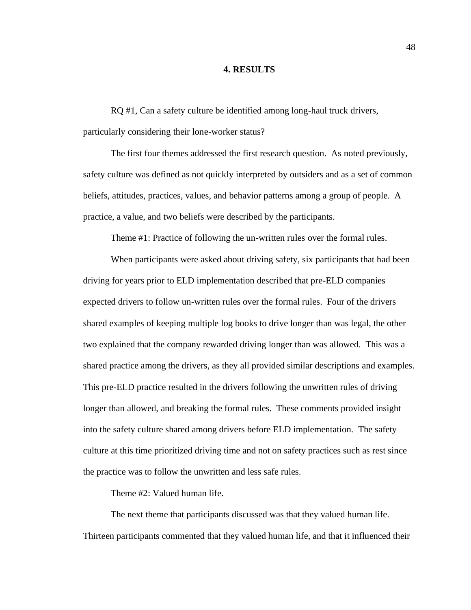## **4. RESULTS**

RQ #1, Can a safety culture be identified among long-haul truck drivers, particularly considering their lone-worker status?

The first four themes addressed the first research question. As noted previously, safety culture was defined as not quickly interpreted by outsiders and as a set of common beliefs, attitudes, practices, values, and behavior patterns among a group of people. A practice, a value, and two beliefs were described by the participants.

Theme #1: Practice of following the un-written rules over the formal rules.

When participants were asked about driving safety, six participants that had been driving for years prior to ELD implementation described that pre-ELD companies expected drivers to follow un-written rules over the formal rules. Four of the drivers shared examples of keeping multiple log books to drive longer than was legal, the other two explained that the company rewarded driving longer than was allowed. This was a shared practice among the drivers, as they all provided similar descriptions and examples. This pre-ELD practice resulted in the drivers following the unwritten rules of driving longer than allowed, and breaking the formal rules. These comments provided insight into the safety culture shared among drivers before ELD implementation. The safety culture at this time prioritized driving time and not on safety practices such as rest since the practice was to follow the unwritten and less safe rules.

Theme #2: Valued human life.

The next theme that participants discussed was that they valued human life. Thirteen participants commented that they valued human life, and that it influenced their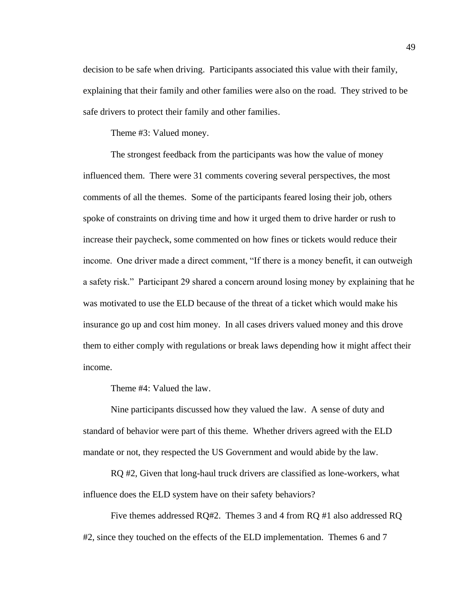decision to be safe when driving. Participants associated this value with their family, explaining that their family and other families were also on the road. They strived to be safe drivers to protect their family and other families.

Theme #3: Valued money.

The strongest feedback from the participants was how the value of money influenced them. There were 31 comments covering several perspectives, the most comments of all the themes. Some of the participants feared losing their job, others spoke of constraints on driving time and how it urged them to drive harder or rush to increase their paycheck, some commented on how fines or tickets would reduce their income. One driver made a direct comment, "If there is a money benefit, it can outweigh a safety risk." Participant 29 shared a concern around losing money by explaining that he was motivated to use the ELD because of the threat of a ticket which would make his insurance go up and cost him money. In all cases drivers valued money and this drove them to either comply with regulations or break laws depending how it might affect their income.

Theme #4: Valued the law.

Nine participants discussed how they valued the law. A sense of duty and standard of behavior were part of this theme. Whether drivers agreed with the ELD mandate or not, they respected the US Government and would abide by the law.

RQ #2, Given that long-haul truck drivers are classified as lone-workers, what influence does the ELD system have on their safety behaviors?

Five themes addressed RQ#2. Themes 3 and 4 from RQ #1 also addressed RQ #2, since they touched on the effects of the ELD implementation. Themes 6 and 7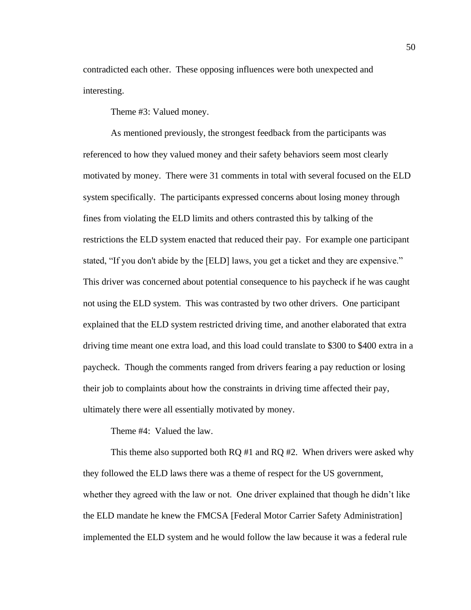contradicted each other. These opposing influences were both unexpected and interesting.

Theme #3: Valued money.

As mentioned previously, the strongest feedback from the participants was referenced to how they valued money and their safety behaviors seem most clearly motivated by money. There were 31 comments in total with several focused on the ELD system specifically. The participants expressed concerns about losing money through fines from violating the ELD limits and others contrasted this by talking of the restrictions the ELD system enacted that reduced their pay. For example one participant stated, "If you don't abide by the [ELD] laws, you get a ticket and they are expensive." This driver was concerned about potential consequence to his paycheck if he was caught not using the ELD system. This was contrasted by two other drivers. One participant explained that the ELD system restricted driving time, and another elaborated that extra driving time meant one extra load, and this load could translate to \$300 to \$400 extra in a paycheck. Though the comments ranged from drivers fearing a pay reduction or losing their job to complaints about how the constraints in driving time affected their pay, ultimately there were all essentially motivated by money.

Theme #4: Valued the law.

This theme also supported both  $RQ \#1$  and  $RQ \#2$ . When drivers were asked why they followed the ELD laws there was a theme of respect for the US government, whether they agreed with the law or not. One driver explained that though he didn't like the ELD mandate he knew the FMCSA [Federal Motor Carrier Safety Administration] implemented the ELD system and he would follow the law because it was a federal rule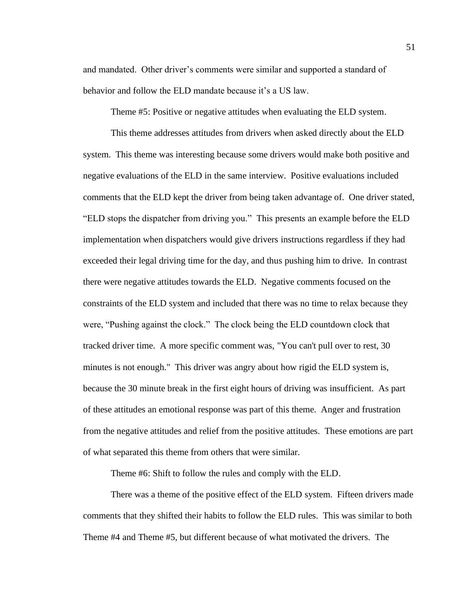and mandated. Other driver's comments were similar and supported a standard of behavior and follow the ELD mandate because it's a US law.

Theme #5: Positive or negative attitudes when evaluating the ELD system.

This theme addresses attitudes from drivers when asked directly about the ELD system. This theme was interesting because some drivers would make both positive and negative evaluations of the ELD in the same interview. Positive evaluations included comments that the ELD kept the driver from being taken advantage of. One driver stated, "ELD stops the dispatcher from driving you." This presents an example before the ELD implementation when dispatchers would give drivers instructions regardless if they had exceeded their legal driving time for the day, and thus pushing him to drive. In contrast there were negative attitudes towards the ELD. Negative comments focused on the constraints of the ELD system and included that there was no time to relax because they were, "Pushing against the clock." The clock being the ELD countdown clock that tracked driver time. A more specific comment was, "You can't pull over to rest, 30 minutes is not enough." This driver was angry about how rigid the ELD system is, because the 30 minute break in the first eight hours of driving was insufficient. As part of these attitudes an emotional response was part of this theme. Anger and frustration from the negative attitudes and relief from the positive attitudes. These emotions are part of what separated this theme from others that were similar.

Theme #6: Shift to follow the rules and comply with the ELD.

There was a theme of the positive effect of the ELD system. Fifteen drivers made comments that they shifted their habits to follow the ELD rules. This was similar to both Theme #4 and Theme #5, but different because of what motivated the drivers. The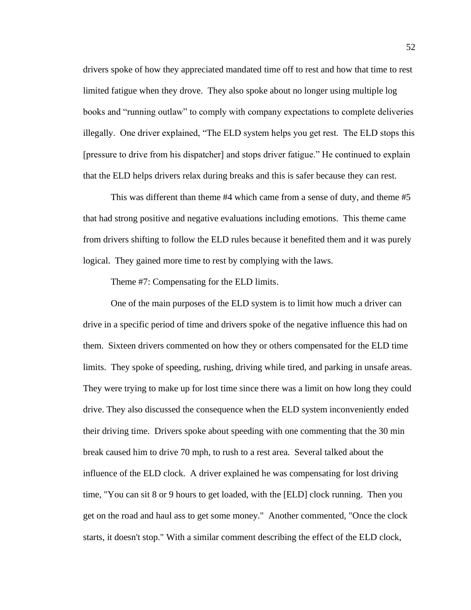drivers spoke of how they appreciated mandated time off to rest and how that time to rest limited fatigue when they drove. They also spoke about no longer using multiple log books and "running outlaw" to comply with company expectations to complete deliveries illegally. One driver explained, "The ELD system helps you get rest. The ELD stops this [pressure to drive from his dispatcher] and stops driver fatigue." He continued to explain that the ELD helps drivers relax during breaks and this is safer because they can rest.

This was different than theme #4 which came from a sense of duty, and theme #5 that had strong positive and negative evaluations including emotions. This theme came from drivers shifting to follow the ELD rules because it benefited them and it was purely logical. They gained more time to rest by complying with the laws.

Theme #7: Compensating for the ELD limits.

One of the main purposes of the ELD system is to limit how much a driver can drive in a specific period of time and drivers spoke of the negative influence this had on them. Sixteen drivers commented on how they or others compensated for the ELD time limits. They spoke of speeding, rushing, driving while tired, and parking in unsafe areas. They were trying to make up for lost time since there was a limit on how long they could drive. They also discussed the consequence when the ELD system inconveniently ended their driving time. Drivers spoke about speeding with one commenting that the 30 min break caused him to drive 70 mph, to rush to a rest area. Several talked about the influence of the ELD clock. A driver explained he was compensating for lost driving time, "You can sit 8 or 9 hours to get loaded, with the [ELD] clock running. Then you get on the road and haul ass to get some money." Another commented, "Once the clock starts, it doesn't stop." With a similar comment describing the effect of the ELD clock,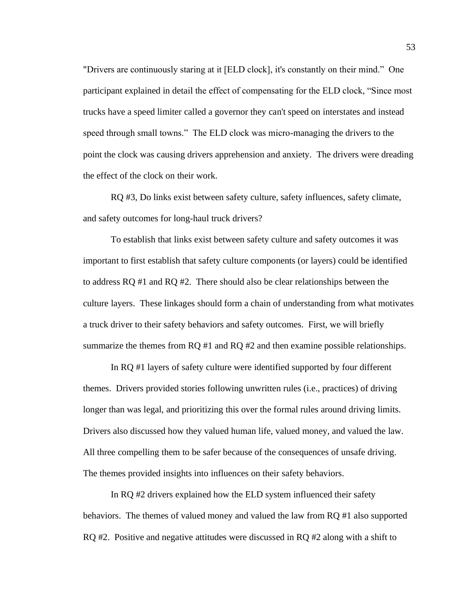"Drivers are continuously staring at it [ELD clock], it's constantly on their mind." One participant explained in detail the effect of compensating for the ELD clock, "Since most trucks have a speed limiter called a governor they can't speed on interstates and instead speed through small towns." The ELD clock was micro-managing the drivers to the point the clock was causing drivers apprehension and anxiety. The drivers were dreading the effect of the clock on their work.

RQ #3, Do links exist between safety culture, safety influences, safety climate, and safety outcomes for long-haul truck drivers?

To establish that links exist between safety culture and safety outcomes it was important to first establish that safety culture components (or layers) could be identified to address RQ #1 and RQ #2. There should also be clear relationships between the culture layers. These linkages should form a chain of understanding from what motivates a truck driver to their safety behaviors and safety outcomes. First, we will briefly summarize the themes from RQ #1 and RQ #2 and then examine possible relationships.

In RQ #1 layers of safety culture were identified supported by four different themes. Drivers provided stories following unwritten rules (i.e., practices) of driving longer than was legal, and prioritizing this over the formal rules around driving limits. Drivers also discussed how they valued human life, valued money, and valued the law. All three compelling them to be safer because of the consequences of unsafe driving. The themes provided insights into influences on their safety behaviors.

In RQ #2 drivers explained how the ELD system influenced their safety behaviors. The themes of valued money and valued the law from RQ #1 also supported RQ #2. Positive and negative attitudes were discussed in RQ #2 along with a shift to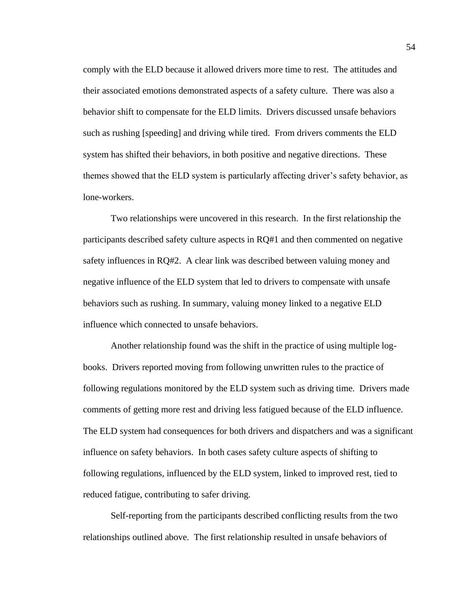comply with the ELD because it allowed drivers more time to rest. The attitudes and their associated emotions demonstrated aspects of a safety culture. There was also a behavior shift to compensate for the ELD limits. Drivers discussed unsafe behaviors such as rushing [speeding] and driving while tired. From drivers comments the ELD system has shifted their behaviors, in both positive and negative directions. These themes showed that the ELD system is particularly affecting driver's safety behavior, as lone-workers.

Two relationships were uncovered in this research. In the first relationship the participants described safety culture aspects in RQ#1 and then commented on negative safety influences in RQ#2. A clear link was described between valuing money and negative influence of the ELD system that led to drivers to compensate with unsafe behaviors such as rushing. In summary, valuing money linked to a negative ELD influence which connected to unsafe behaviors.

Another relationship found was the shift in the practice of using multiple logbooks. Drivers reported moving from following unwritten rules to the practice of following regulations monitored by the ELD system such as driving time. Drivers made comments of getting more rest and driving less fatigued because of the ELD influence. The ELD system had consequences for both drivers and dispatchers and was a significant influence on safety behaviors. In both cases safety culture aspects of shifting to following regulations, influenced by the ELD system, linked to improved rest, tied to reduced fatigue, contributing to safer driving.

Self-reporting from the participants described conflicting results from the two relationships outlined above. The first relationship resulted in unsafe behaviors of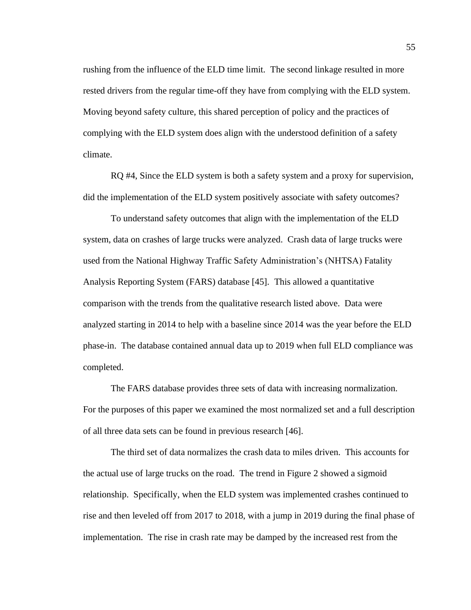rushing from the influence of the ELD time limit. The second linkage resulted in more rested drivers from the regular time-off they have from complying with the ELD system. Moving beyond safety culture, this shared perception of policy and the practices of complying with the ELD system does align with the understood definition of a safety climate.

RQ #4, Since the ELD system is both a safety system and a proxy for supervision, did the implementation of the ELD system positively associate with safety outcomes?

To understand safety outcomes that align with the implementation of the ELD system, data on crashes of large trucks were analyzed. Crash data of large trucks were used from the National Highway Traffic Safety Administration's (NHTSA) Fatality Analysis Reporting System (FARS) database [45]. This allowed a quantitative comparison with the trends from the qualitative research listed above. Data were analyzed starting in 2014 to help with a baseline since 2014 was the year before the ELD phase-in. The database contained annual data up to 2019 when full ELD compliance was completed.

The FARS database provides three sets of data with increasing normalization. For the purposes of this paper we examined the most normalized set and a full description of all three data sets can be found in previous research [46].

The third set of data normalizes the crash data to miles driven. This accounts for the actual use of large trucks on the road. The trend in Figure 2 showed a sigmoid relationship. Specifically, when the ELD system was implemented crashes continued to rise and then leveled off from 2017 to 2018, with a jump in 2019 during the final phase of implementation. The rise in crash rate may be damped by the increased rest from the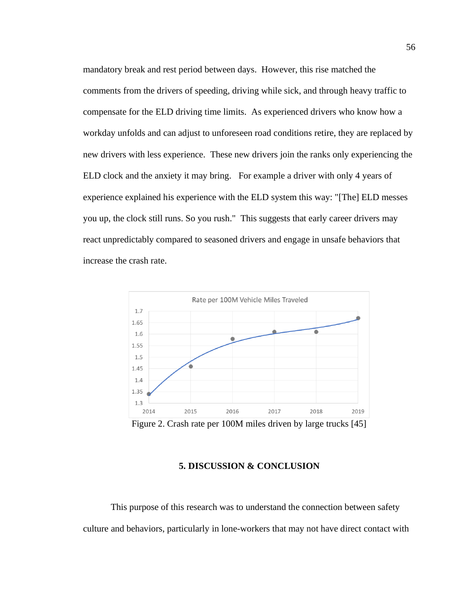mandatory break and rest period between days. However, this rise matched the comments from the drivers of speeding, driving while sick, and through heavy traffic to compensate for the ELD driving time limits. As experienced drivers who know how a workday unfolds and can adjust to unforeseen road conditions retire, they are replaced by new drivers with less experience. These new drivers join the ranks only experiencing the ELD clock and the anxiety it may bring. For example a driver with only 4 years of experience explained his experience with the ELD system this way: "[The] ELD messes you up, the clock still runs. So you rush." This suggests that early career drivers may react unpredictably compared to seasoned drivers and engage in unsafe behaviors that increase the crash rate.



Figure 2. Crash rate per 100M miles driven by large trucks [45]

# **5. DISCUSSION & CONCLUSION**

This purpose of this research was to understand the connection between safety culture and behaviors, particularly in lone-workers that may not have direct contact with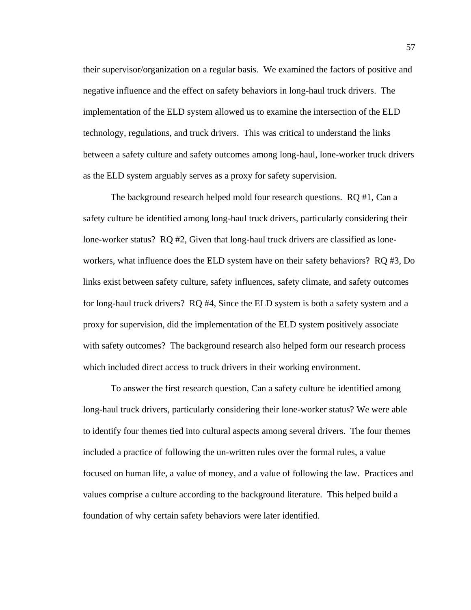their supervisor/organization on a regular basis. We examined the factors of positive and negative influence and the effect on safety behaviors in long-haul truck drivers. The implementation of the ELD system allowed us to examine the intersection of the ELD technology, regulations, and truck drivers. This was critical to understand the links between a safety culture and safety outcomes among long-haul, lone-worker truck drivers as the ELD system arguably serves as a proxy for safety supervision.

The background research helped mold four research questions. RQ #1, Can a safety culture be identified among long-haul truck drivers, particularly considering their lone-worker status? RQ #2, Given that long-haul truck drivers are classified as loneworkers, what influence does the ELD system have on their safety behaviors? RQ #3, Do links exist between safety culture, safety influences, safety climate, and safety outcomes for long-haul truck drivers? RQ #4, Since the ELD system is both a safety system and a proxy for supervision, did the implementation of the ELD system positively associate with safety outcomes? The background research also helped form our research process which included direct access to truck drivers in their working environment.

To answer the first research question, Can a safety culture be identified among long-haul truck drivers, particularly considering their lone-worker status? We were able to identify four themes tied into cultural aspects among several drivers. The four themes included a practice of following the un-written rules over the formal rules, a value focused on human life, a value of money, and a value of following the law. Practices and values comprise a culture according to the background literature. This helped build a foundation of why certain safety behaviors were later identified.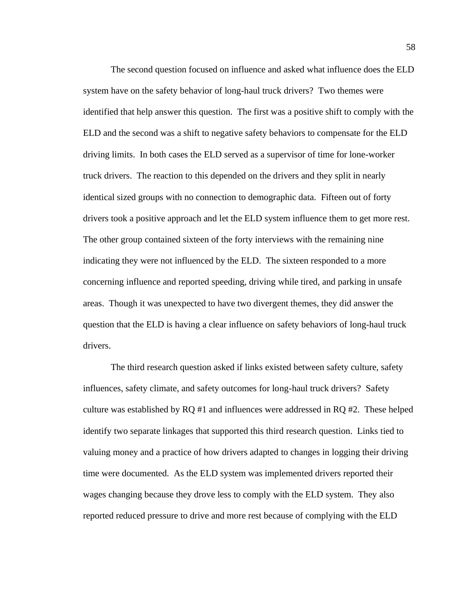The second question focused on influence and asked what influence does the ELD system have on the safety behavior of long-haul truck drivers? Two themes were identified that help answer this question. The first was a positive shift to comply with the ELD and the second was a shift to negative safety behaviors to compensate for the ELD driving limits. In both cases the ELD served as a supervisor of time for lone-worker truck drivers. The reaction to this depended on the drivers and they split in nearly identical sized groups with no connection to demographic data. Fifteen out of forty drivers took a positive approach and let the ELD system influence them to get more rest. The other group contained sixteen of the forty interviews with the remaining nine indicating they were not influenced by the ELD. The sixteen responded to a more concerning influence and reported speeding, driving while tired, and parking in unsafe areas. Though it was unexpected to have two divergent themes, they did answer the question that the ELD is having a clear influence on safety behaviors of long-haul truck drivers.

The third research question asked if links existed between safety culture, safety influences, safety climate, and safety outcomes for long-haul truck drivers? Safety culture was established by RQ #1 and influences were addressed in RQ #2. These helped identify two separate linkages that supported this third research question. Links tied to valuing money and a practice of how drivers adapted to changes in logging their driving time were documented. As the ELD system was implemented drivers reported their wages changing because they drove less to comply with the ELD system. They also reported reduced pressure to drive and more rest because of complying with the ELD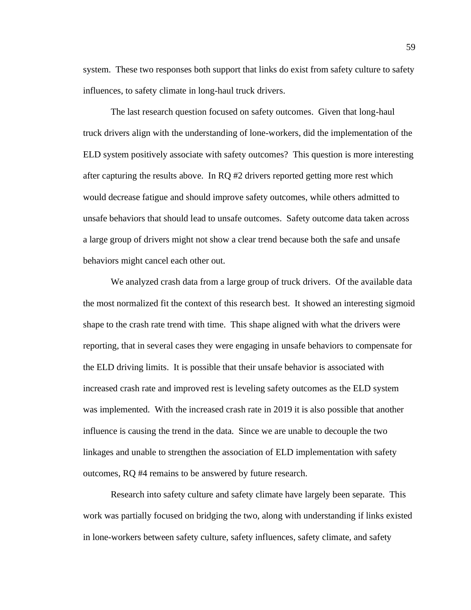system. These two responses both support that links do exist from safety culture to safety influences, to safety climate in long-haul truck drivers.

The last research question focused on safety outcomes. Given that long-haul truck drivers align with the understanding of lone-workers, did the implementation of the ELD system positively associate with safety outcomes? This question is more interesting after capturing the results above. In  $RQ \text{ } \#2$  drivers reported getting more rest which would decrease fatigue and should improve safety outcomes, while others admitted to unsafe behaviors that should lead to unsafe outcomes. Safety outcome data taken across a large group of drivers might not show a clear trend because both the safe and unsafe behaviors might cancel each other out.

We analyzed crash data from a large group of truck drivers. Of the available data the most normalized fit the context of this research best. It showed an interesting sigmoid shape to the crash rate trend with time. This shape aligned with what the drivers were reporting, that in several cases they were engaging in unsafe behaviors to compensate for the ELD driving limits. It is possible that their unsafe behavior is associated with increased crash rate and improved rest is leveling safety outcomes as the ELD system was implemented. With the increased crash rate in 2019 it is also possible that another influence is causing the trend in the data. Since we are unable to decouple the two linkages and unable to strengthen the association of ELD implementation with safety outcomes, RQ #4 remains to be answered by future research.

Research into safety culture and safety climate have largely been separate. This work was partially focused on bridging the two, along with understanding if links existed in lone-workers between safety culture, safety influences, safety climate, and safety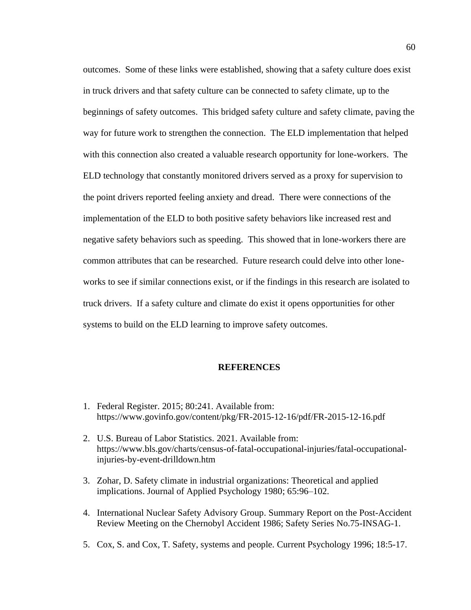outcomes. Some of these links were established, showing that a safety culture does exist in truck drivers and that safety culture can be connected to safety climate, up to the beginnings of safety outcomes. This bridged safety culture and safety climate, paving the way for future work to strengthen the connection. The ELD implementation that helped with this connection also created a valuable research opportunity for lone-workers. The ELD technology that constantly monitored drivers served as a proxy for supervision to the point drivers reported feeling anxiety and dread. There were connections of the implementation of the ELD to both positive safety behaviors like increased rest and negative safety behaviors such as speeding. This showed that in lone-workers there are common attributes that can be researched. Future research could delve into other loneworks to see if similar connections exist, or if the findings in this research are isolated to truck drivers. If a safety culture and climate do exist it opens opportunities for other systems to build on the ELD learning to improve safety outcomes.

#### **REFERENCES**

- 1. Federal Register. 2015; 80:241. Available from: https://www.govinfo.gov/content/pkg/FR-2015-12-16/pdf/FR-2015-12-16.pdf
- 2. U.S. Bureau of Labor Statistics. 2021. Available from: https://www.bls.gov/charts/census-of-fatal-occupational-injuries/fatal-occupationalinjuries-by-event-drilldown.htm
- 3. Zohar, D. Safety climate in industrial organizations: Theoretical and applied implications. Journal of Applied Psychology 1980; 65:96–102.
- 4. International Nuclear Safety Advisory Group. Summary Report on the Post-Accident Review Meeting on the Chernobyl Accident 1986; Safety Series No.75-INSAG-1.
- 5. Cox, S. and Cox, T. Safety, systems and people. Current Psychology 1996; 18:5-17.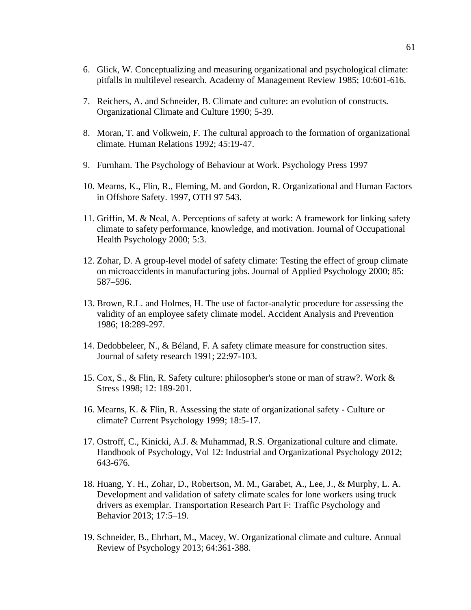- 6. Glick, W. Conceptualizing and measuring organizational and psychological climate: pitfalls in multilevel research. Academy of Management Review 1985; 10:601-616.
- 7. Reichers, A. and Schneider, B. Climate and culture: an evolution of constructs. Organizational Climate and Culture 1990; 5-39.
- 8. Moran, T. and Volkwein, F. The cultural approach to the formation of organizational climate. Human Relations 1992; 45:19-47.
- 9. Furnham. The Psychology of Behaviour at Work. Psychology Press 1997
- 10. Mearns, K., Flin, R., Fleming, M. and Gordon, R. Organizational and Human Factors in Offshore Safety. 1997, OTH 97 543.
- 11. Griffin, M. & Neal, A. Perceptions of safety at work: A framework for linking safety climate to safety performance, knowledge, and motivation. Journal of Occupational Health Psychology 2000; 5:3.
- 12. Zohar, D. A group-level model of safety climate: Testing the effect of group climate on microaccidents in manufacturing jobs. Journal of Applied Psychology 2000; 85: 587–596.
- 13. Brown, R.L. and Holmes, H. The use of factor-analytic procedure for assessing the validity of an employee safety climate model. Accident Analysis and Prevention 1986; 18:289-297.
- 14. Dedobbeleer, N., & Béland, F. A safety climate measure for construction sites. Journal of safety research 1991; 22:97-103.
- 15. Cox, S., & Flin, R. Safety culture: philosopher's stone or man of straw?. Work & Stress 1998; 12: 189-201.
- 16. Mearns, K. & Flin, R. Assessing the state of organizational safety Culture or climate? Current Psychology 1999; 18:5-17.
- 17. Ostroff, C., Kinicki, A.J. & Muhammad, R.S. Organizational culture and climate. Handbook of Psychology, Vol 12: Industrial and Organizational Psychology 2012; 643-676.
- 18. Huang, Y. H., Zohar, D., Robertson, M. M., Garabet, A., Lee, J., & Murphy, L. A. Development and validation of safety climate scales for lone workers using truck drivers as exemplar. Transportation Research Part F: Traffic Psychology and Behavior 2013; 17:5–19.
- 19. Schneider, B., Ehrhart, M., Macey, W. Organizational climate and culture. Annual Review of Psychology 2013; 64:361-388.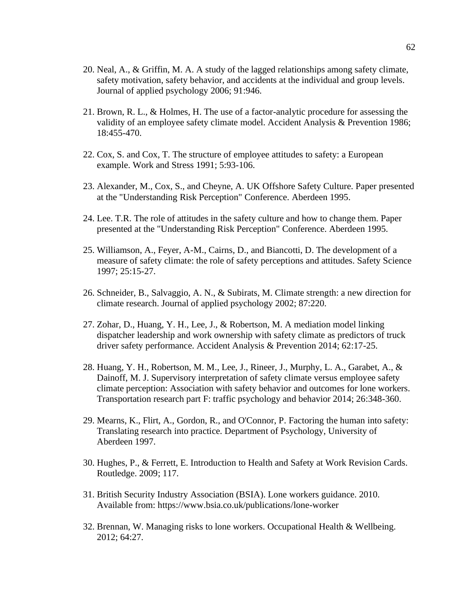- 20. Neal, A., & Griffin, M. A. A study of the lagged relationships among safety climate, safety motivation, safety behavior, and accidents at the individual and group levels. Journal of applied psychology 2006; 91:946.
- 21. Brown, R. L., & Holmes, H. The use of a factor-analytic procedure for assessing the validity of an employee safety climate model. Accident Analysis & Prevention 1986; 18:455-470.
- 22. Cox, S. and Cox, T. The structure of employee attitudes to safety: a European example. Work and Stress 1991; 5:93-106.
- 23. Alexander, M., Cox, S., and Cheyne, A. UK Offshore Safety Culture. Paper presented at the "Understanding Risk Perception" Conference. Aberdeen 1995.
- 24. Lee. T.R. The role of attitudes in the safety culture and how to change them. Paper presented at the "Understanding Risk Perception" Conference. Aberdeen 1995.
- 25. Williamson, A., Feyer, A-M., Cairns, D., and Biancotti, D. The development of a measure of safety climate: the role of safety perceptions and attitudes. Safety Science 1997; 25:15-27.
- 26. Schneider, B., Salvaggio, A. N., & Subirats, M. Climate strength: a new direction for climate research. Journal of applied psychology 2002; 87:220.
- 27. Zohar, D., Huang, Y. H., Lee, J., & Robertson, M. A mediation model linking dispatcher leadership and work ownership with safety climate as predictors of truck driver safety performance. Accident Analysis & Prevention 2014; 62:17-25.
- 28. Huang, Y. H., Robertson, M. M., Lee, J., Rineer, J., Murphy, L. A., Garabet, A., & Dainoff, M. J. Supervisory interpretation of safety climate versus employee safety climate perception: Association with safety behavior and outcomes for lone workers. Transportation research part F: traffic psychology and behavior 2014; 26:348-360.
- 29. Mearns, K., Flirt, A., Gordon, R., and O'Connor, P. Factoring the human into safety: Translating research into practice. Department of Psychology, University of Aberdeen 1997.
- 30. Hughes, P., & Ferrett, E. Introduction to Health and Safety at Work Revision Cards. Routledge. 2009; 117.
- 31. British Security Industry Association (BSIA). Lone workers guidance. 2010. Available from: https://www.bsia.co.uk/publications/lone-worker
- 32. Brennan, W. Managing risks to lone workers. Occupational Health & Wellbeing. 2012; 64:27.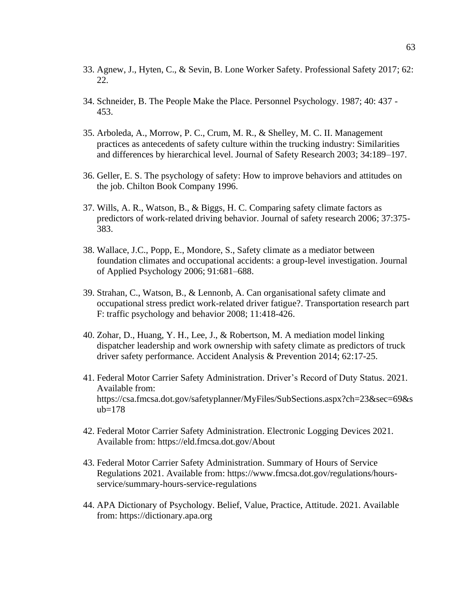- 33. Agnew, J., Hyten, C., & Sevin, B. Lone Worker Safety. Professional Safety 2017; 62: 22.
- 34. Schneider, B. The People Make the Place. Personnel Psychology. 1987; 40: 437 453.
- 35. Arboleda, A., Morrow, P. C., Crum, M. R., & Shelley, M. C. II. Management practices as antecedents of safety culture within the trucking industry: Similarities and differences by hierarchical level. Journal of Safety Research 2003; 34:189–197.
- 36. Geller, E. S. The psychology of safety: How to improve behaviors and attitudes on the job. Chilton Book Company 1996.
- 37. Wills, A. R., Watson, B., & Biggs, H. C. Comparing safety climate factors as predictors of work-related driving behavior. Journal of safety research 2006; 37:375- 383.
- 38. Wallace, J.C., Popp, E., Mondore, S., Safety climate as a mediator between foundation climates and occupational accidents: a group-level investigation. Journal of Applied Psychology 2006; 91:681–688.
- 39. Strahan, C., Watson, B., & Lennonb, A. Can organisational safety climate and occupational stress predict work-related driver fatigue?. Transportation research part F: traffic psychology and behavior 2008; 11:418-426.
- 40. Zohar, D., Huang, Y. H., Lee, J., & Robertson, M. A mediation model linking dispatcher leadership and work ownership with safety climate as predictors of truck driver safety performance. Accident Analysis & Prevention 2014; 62:17-25.
- 41. Federal Motor Carrier Safety Administration. Driver's Record of Duty Status. 2021. Available from: https://csa.fmcsa.dot.gov/safetyplanner/MyFiles/SubSections.aspx?ch=23&sec=69&s ub=178
- 42. Federal Motor Carrier Safety Administration. Electronic Logging Devices 2021. Available from: https://eld.fmcsa.dot.gov/About
- 43. Federal Motor Carrier Safety Administration. Summary of Hours of Service Regulations 2021. Available from: https://www.fmcsa.dot.gov/regulations/hoursservice/summary-hours-service-regulations
- 44. APA Dictionary of Psychology. Belief, Value, Practice, Attitude. 2021. Available from: https://dictionary.apa.org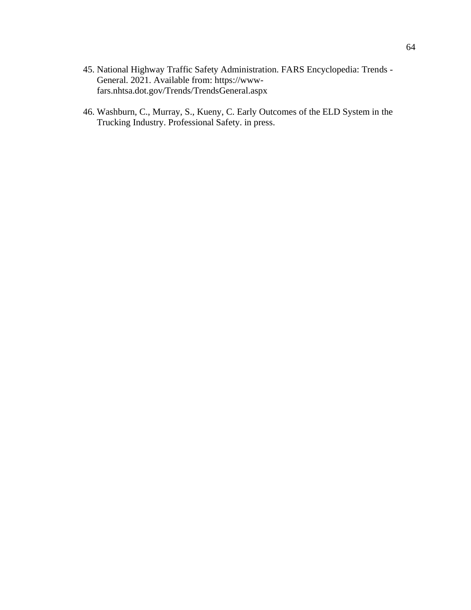- 45. National Highway Traffic Safety Administration. FARS Encyclopedia: Trends General. 2021. Available from: https://wwwfars.nhtsa.dot.gov/Trends/TrendsGeneral.aspx
- 46. Washburn, C., Murray, S., Kueny, C. Early Outcomes of the ELD System in the Trucking Industry. Professional Safety. in press.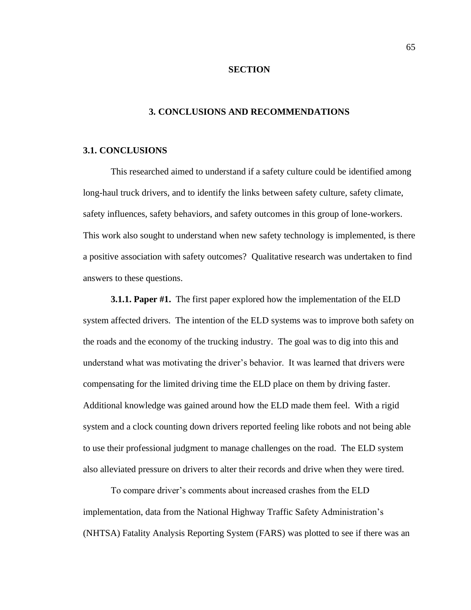### **SECTION**

### **3. CONCLUSIONS AND RECOMMENDATIONS**

# **3.1. CONCLUSIONS**

This researched aimed to understand if a safety culture could be identified among long-haul truck drivers, and to identify the links between safety culture, safety climate, safety influences, safety behaviors, and safety outcomes in this group of lone-workers. This work also sought to understand when new safety technology is implemented, is there a positive association with safety outcomes? Qualitative research was undertaken to find answers to these questions.

**3.1.1. Paper #1.** The first paper explored how the implementation of the ELD system affected drivers. The intention of the ELD systems was to improve both safety on the roads and the economy of the trucking industry. The goal was to dig into this and understand what was motivating the driver's behavior. It was learned that drivers were compensating for the limited driving time the ELD place on them by driving faster. Additional knowledge was gained around how the ELD made them feel. With a rigid system and a clock counting down drivers reported feeling like robots and not being able to use their professional judgment to manage challenges on the road. The ELD system also alleviated pressure on drivers to alter their records and drive when they were tired.

To compare driver's comments about increased crashes from the ELD implementation, data from the National Highway Traffic Safety Administration's (NHTSA) Fatality Analysis Reporting System (FARS) was plotted to see if there was an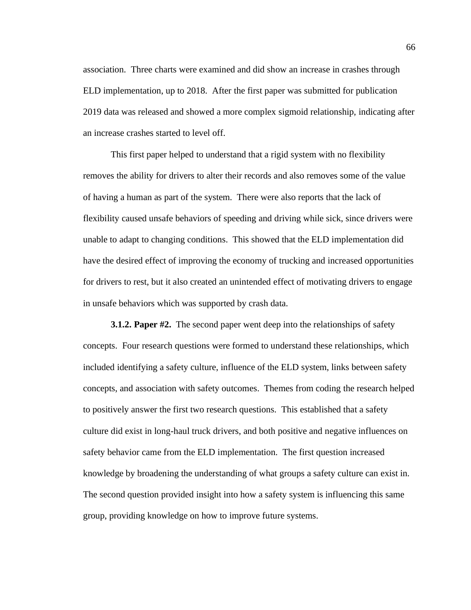association. Three charts were examined and did show an increase in crashes through ELD implementation, up to 2018. After the first paper was submitted for publication 2019 data was released and showed a more complex sigmoid relationship, indicating after an increase crashes started to level off.

This first paper helped to understand that a rigid system with no flexibility removes the ability for drivers to alter their records and also removes some of the value of having a human as part of the system. There were also reports that the lack of flexibility caused unsafe behaviors of speeding and driving while sick, since drivers were unable to adapt to changing conditions. This showed that the ELD implementation did have the desired effect of improving the economy of trucking and increased opportunities for drivers to rest, but it also created an unintended effect of motivating drivers to engage in unsafe behaviors which was supported by crash data.

**3.1.2. Paper #2.** The second paper went deep into the relationships of safety concepts. Four research questions were formed to understand these relationships, which included identifying a safety culture, influence of the ELD system, links between safety concepts, and association with safety outcomes. Themes from coding the research helped to positively answer the first two research questions. This established that a safety culture did exist in long-haul truck drivers, and both positive and negative influences on safety behavior came from the ELD implementation. The first question increased knowledge by broadening the understanding of what groups a safety culture can exist in. The second question provided insight into how a safety system is influencing this same group, providing knowledge on how to improve future systems.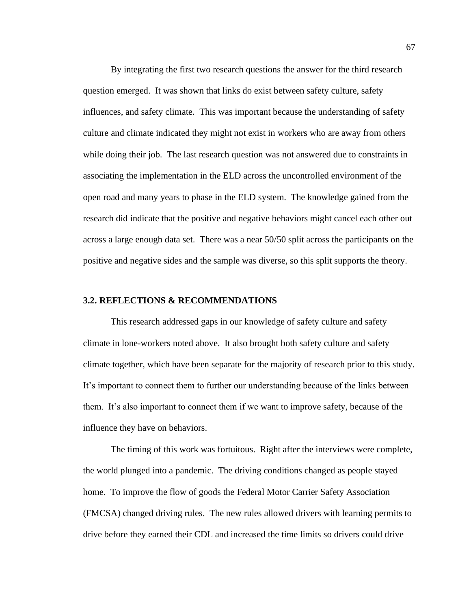By integrating the first two research questions the answer for the third research question emerged. It was shown that links do exist between safety culture, safety influences, and safety climate. This was important because the understanding of safety culture and climate indicated they might not exist in workers who are away from others while doing their job. The last research question was not answered due to constraints in associating the implementation in the ELD across the uncontrolled environment of the open road and many years to phase in the ELD system. The knowledge gained from the research did indicate that the positive and negative behaviors might cancel each other out across a large enough data set. There was a near 50/50 split across the participants on the positive and negative sides and the sample was diverse, so this split supports the theory.

#### **3.2. REFLECTIONS & RECOMMENDATIONS**

This research addressed gaps in our knowledge of safety culture and safety climate in lone-workers noted above. It also brought both safety culture and safety climate together, which have been separate for the majority of research prior to this study. It's important to connect them to further our understanding because of the links between them. It's also important to connect them if we want to improve safety, because of the influence they have on behaviors.

The timing of this work was fortuitous. Right after the interviews were complete, the world plunged into a pandemic. The driving conditions changed as people stayed home. To improve the flow of goods the Federal Motor Carrier Safety Association (FMCSA) changed driving rules. The new rules allowed drivers with learning permits to drive before they earned their CDL and increased the time limits so drivers could drive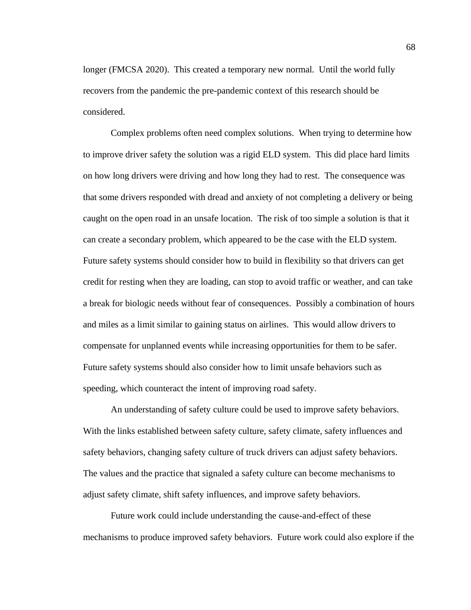longer (FMCSA 2020). This created a temporary new normal. Until the world fully recovers from the pandemic the pre-pandemic context of this research should be considered.

Complex problems often need complex solutions. When trying to determine how to improve driver safety the solution was a rigid ELD system. This did place hard limits on how long drivers were driving and how long they had to rest. The consequence was that some drivers responded with dread and anxiety of not completing a delivery or being caught on the open road in an unsafe location. The risk of too simple a solution is that it can create a secondary problem, which appeared to be the case with the ELD system. Future safety systems should consider how to build in flexibility so that drivers can get credit for resting when they are loading, can stop to avoid traffic or weather, and can take a break for biologic needs without fear of consequences. Possibly a combination of hours and miles as a limit similar to gaining status on airlines. This would allow drivers to compensate for unplanned events while increasing opportunities for them to be safer. Future safety systems should also consider how to limit unsafe behaviors such as speeding, which counteract the intent of improving road safety.

An understanding of safety culture could be used to improve safety behaviors. With the links established between safety culture, safety climate, safety influences and safety behaviors, changing safety culture of truck drivers can adjust safety behaviors. The values and the practice that signaled a safety culture can become mechanisms to adjust safety climate, shift safety influences, and improve safety behaviors.

Future work could include understanding the cause-and-effect of these mechanisms to produce improved safety behaviors. Future work could also explore if the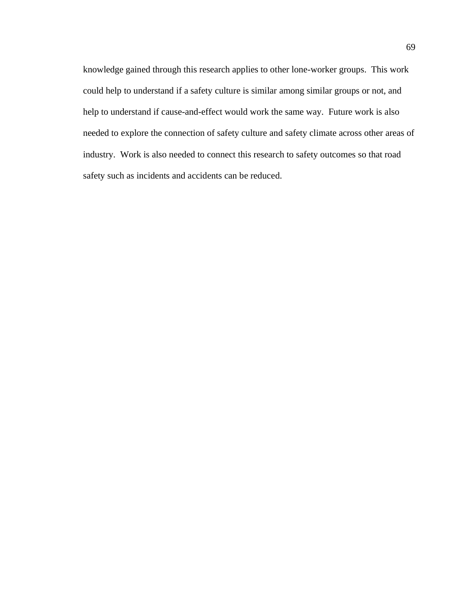knowledge gained through this research applies to other lone-worker groups. This work could help to understand if a safety culture is similar among similar groups or not, and help to understand if cause-and-effect would work the same way. Future work is also needed to explore the connection of safety culture and safety climate across other areas of industry. Work is also needed to connect this research to safety outcomes so that road safety such as incidents and accidents can be reduced.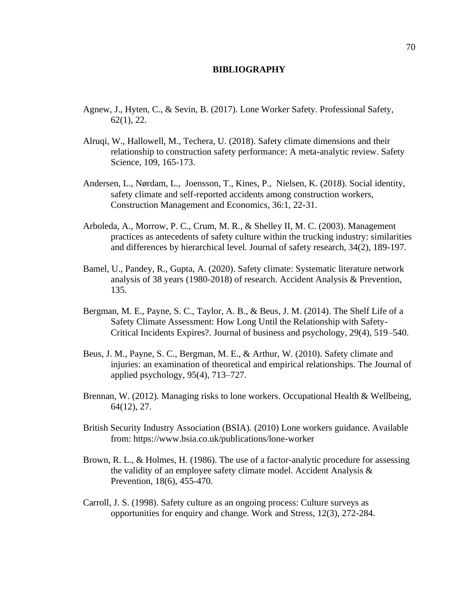## **BIBLIOGRAPHY**

- Agnew, J., Hyten, C., & Sevin, B. (2017). Lone Worker Safety. Professional Safety, 62(1), 22.
- Alruqi, W., Hallowell, M., Techera, U. (2018). Safety climate dimensions and their relationship to construction safety performance: A meta-analytic review. Safety Science, 109, 165-173.
- Andersen, L., Nørdam, L., Joensson, T., Kines, P., Nielsen, K. (2018). Social identity, safety climate and self-reported accidents among construction workers, Construction Management and Economics, 36:1, 22-31.
- Arboleda, A., Morrow, P. C., Crum, M. R., & Shelley II, M. C. (2003). Management practices as antecedents of safety culture within the trucking industry: similarities and differences by hierarchical level. Journal of safety research, 34(2), 189-197.
- Bamel, U., Pandey, R., Gupta, A. (2020). Safety climate: Systematic literature network analysis of 38 years (1980-2018) of research. Accident Analysis & Prevention, 135.
- Bergman, M. E., Payne, S. C., Taylor, A. B., & Beus, J. M. (2014). The Shelf Life of a Safety Climate Assessment: How Long Until the Relationship with Safety-Critical Incidents Expires?. Journal of business and psychology, 29(4), 519–540.
- Beus, J. M., Payne, S. C., Bergman, M. E., & Arthur, W. (2010). Safety climate and injuries: an examination of theoretical and empirical relationships. The Journal of applied psychology, 95(4), 713–727.
- Brennan, W. (2012). Managing risks to lone workers. Occupational Health & Wellbeing, 64(12), 27.
- British Security Industry Association (BSIA). (2010) Lone workers guidance. Available from: https://www.bsia.co.uk/publications/lone-worker
- Brown, R. L., & Holmes, H. (1986). The use of a factor-analytic procedure for assessing the validity of an employee safety climate model. Accident Analysis & Prevention, 18(6), 455-470.
- Carroll, J. S. (1998). Safety culture as an ongoing process: Culture surveys as opportunities for enquiry and change. Work and Stress, 12(3), 272-284.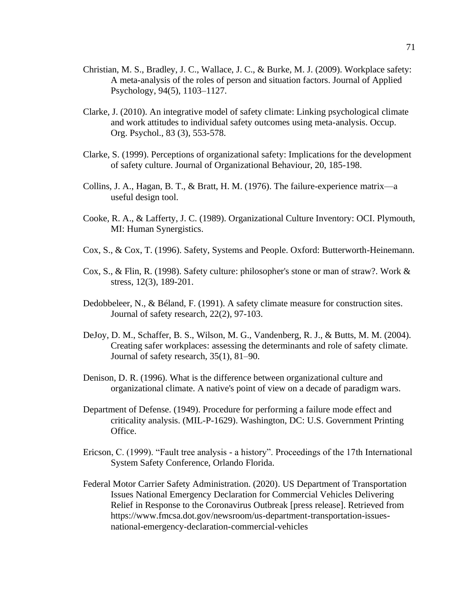- Christian, M. S., Bradley, J. C., Wallace, J. C., & Burke, M. J. (2009). Workplace safety: A meta-analysis of the roles of person and situation factors. Journal of Applied Psychology, 94(5), 1103–1127.
- Clarke, J. (2010). An integrative model of safety climate: Linking psychological climate and work attitudes to individual safety outcomes using meta-analysis. Occup. Org. Psychol., 83 (3), 553-578.
- Clarke, S. (1999). Perceptions of organizational safety: Implications for the development of safety culture. Journal of Organizational Behaviour, 20, 185-198.
- Collins, J. A., Hagan, B. T., & Bratt, H. M. (1976). The failure-experience matrix—a useful design tool.
- Cooke, R. A., & Lafferty, J. C. (1989). Organizational Culture Inventory: OCI. Plymouth, MI: Human Synergistics.
- Cox, S., & Cox, T. (1996). Safety, Systems and People. Oxford: Butterworth-Heinemann.
- Cox, S., & Flin, R. (1998). Safety culture: philosopher's stone or man of straw?. Work & stress, 12(3), 189-201.
- Dedobbeleer, N., & Béland, F. (1991). A safety climate measure for construction sites. Journal of safety research, 22(2), 97-103.
- DeJoy, D. M., Schaffer, B. S., Wilson, M. G., Vandenberg, R. J., & Butts, M. M. (2004). Creating safer workplaces: assessing the determinants and role of safety climate. Journal of safety research, 35(1), 81–90.
- Denison, D. R. (1996). What is the difference between organizational culture and organizational climate. A native's point of view on a decade of paradigm wars.
- Department of Defense. (1949). Procedure for performing a failure mode effect and criticality analysis. (MIL-P-1629). Washington, DC: U.S. Government Printing Office.
- Ericson, C. (1999). "Fault tree analysis a history". Proceedings of the 17th International System Safety Conference, Orlando Florida.
- Federal Motor Carrier Safety Administration. (2020). US Department of Transportation Issues National Emergency Declaration for Commercial Vehicles Delivering Relief in Response to the Coronavirus Outbreak [press release]. Retrieved from https://www.fmcsa.dot.gov/newsroom/us-department-transportation-issuesnational-emergency-declaration-commercial-vehicles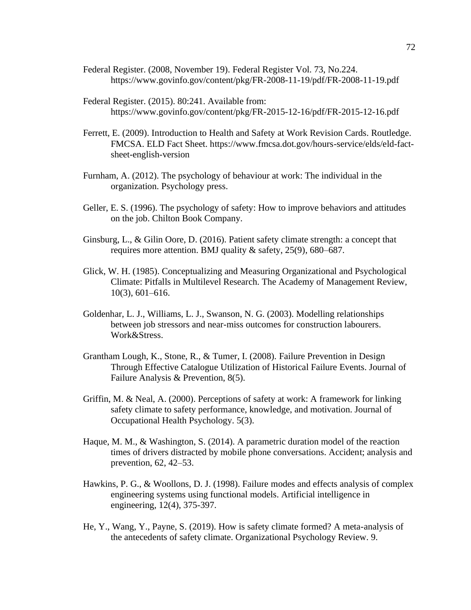- Federal Register. (2008, November 19). Federal Register Vol. 73, No.224. https://www.govinfo.gov/content/pkg/FR-2008-11-19/pdf/FR-2008-11-19.pdf
- Federal Register. (2015). 80:241. Available from: https://www.govinfo.gov/content/pkg/FR-2015-12-16/pdf/FR-2015-12-16.pdf
- Ferrett, E. (2009). Introduction to Health and Safety at Work Revision Cards. Routledge. FMCSA. ELD Fact Sheet. https://www.fmcsa.dot.gov/hours-service/elds/eld-factsheet-english-version
- Furnham, A. (2012). The psychology of behaviour at work: The individual in the organization. Psychology press.
- Geller, E. S. (1996). The psychology of safety: How to improve behaviors and attitudes on the job. Chilton Book Company.
- Ginsburg, L., & Gilin Oore, D. (2016). Patient safety climate strength: a concept that requires more attention. BMJ quality & safety, 25(9), 680–687.
- Glick, W. H. (1985). Conceptualizing and Measuring Organizational and Psychological Climate: Pitfalls in Multilevel Research. The Academy of Management Review, 10(3), 601–616.
- Goldenhar, L. J., Williams, L. J., Swanson, N. G. (2003). Modelling relationships between job stressors and near-miss outcomes for construction labourers. Work&Stress.
- Grantham Lough, K., Stone, R., & Tumer, I. (2008). Failure Prevention in Design Through Effective Catalogue Utilization of Historical Failure Events. Journal of Failure Analysis & Prevention, 8(5).
- Griffin, M. & Neal, A. (2000). Perceptions of safety at work: A framework for linking safety climate to safety performance, knowledge, and motivation. Journal of Occupational Health Psychology. 5(3).
- Haque, M. M., & Washington, S. (2014). A parametric duration model of the reaction times of drivers distracted by mobile phone conversations. Accident; analysis and prevention, 62, 42–53.
- Hawkins, P. G., & Woollons, D. J. (1998). Failure modes and effects analysis of complex engineering systems using functional models. Artificial intelligence in engineering, 12(4), 375-397.
- He, Y., Wang, Y., Payne, S. (2019). How is safety climate formed? A meta-analysis of the antecedents of safety climate. Organizational Psychology Review. 9.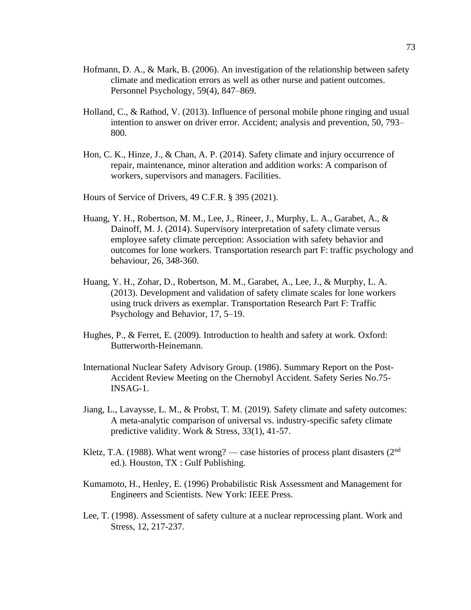- Hofmann, D. A., & Mark, B. (2006). An investigation of the relationship between safety climate and medication errors as well as other nurse and patient outcomes. Personnel Psychology, 59(4), 847–869.
- Holland, C., & Rathod, V. (2013). Influence of personal mobile phone ringing and usual intention to answer on driver error. Accident; analysis and prevention, 50, 793– 800.
- Hon, C. K., Hinze, J., & Chan, A. P. (2014). Safety climate and injury occurrence of repair, maintenance, minor alteration and addition works: A comparison of workers, supervisors and managers. Facilities.

Hours of Service of Drivers, 49 C.F.R. § 395 (2021).

- Huang, Y. H., Robertson, M. M., Lee, J., Rineer, J., Murphy, L. A., Garabet, A., & Dainoff, M. J. (2014). Supervisory interpretation of safety climate versus employee safety climate perception: Association with safety behavior and outcomes for lone workers. Transportation research part F: traffic psychology and behaviour, 26, 348-360.
- Huang, Y. H., Zohar, D., Robertson, M. M., Garabet, A., Lee, J., & Murphy, L. A. (2013). Development and validation of safety climate scales for lone workers using truck drivers as exemplar. Transportation Research Part F: Traffic Psychology and Behavior, 17, 5–19.
- Hughes, P., & Ferret, E. (2009). Introduction to health and safety at work. Oxford: Butterworth-Heinemann.
- International Nuclear Safety Advisory Group. (1986). Summary Report on the Post-Accident Review Meeting on the Chernobyl Accident. Safety Series No.75- INSAG-1.
- Jiang, L., Lavaysse, L. M., & Probst, T. M. (2019). Safety climate and safety outcomes: A meta-analytic comparison of universal vs. industry-specific safety climate predictive validity. Work & Stress, 33(1), 41-57.
- Kletz, T.A. (1988). What went wrong? case histories of process plant disasters ( $2<sup>nd</sup>$ ed.). Houston, TX : Gulf Publishing.
- Kumamoto, H., Henley, E. (1996) Probabilistic Risk Assessment and Management for Engineers and Scientists. New York: IEEE Press.
- Lee, T. (1998). Assessment of safety culture at a nuclear reprocessing plant. Work and Stress, 12, 217-237.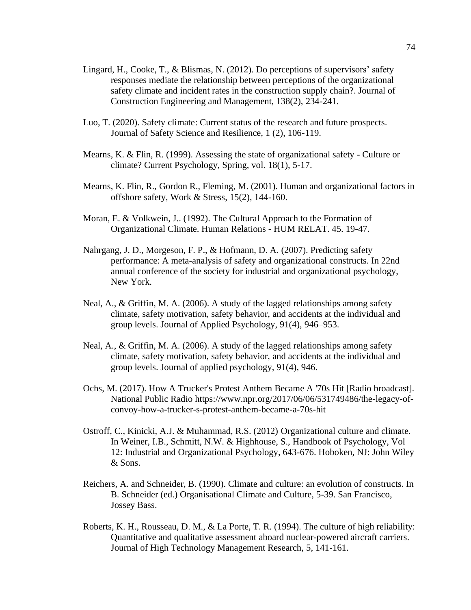- Lingard, H., Cooke, T., & Blismas, N. (2012). Do perceptions of supervisors' safety responses mediate the relationship between perceptions of the organizational safety climate and incident rates in the construction supply chain?. Journal of Construction Engineering and Management, 138(2), 234-241.
- Luo, T. (2020). Safety climate: Current status of the research and future prospects. Journal of Safety Science and Resilience, 1 (2), 106-119.
- Mearns, K. & Flin, R. (1999). Assessing the state of organizational safety Culture or climate? Current Psychology, Spring, vol. 18(1), 5-17.
- Mearns, K. Flin, R., Gordon R., Fleming, M. (2001). Human and organizational factors in offshore safety, Work & Stress, 15(2), 144-160.
- Moran, E. & Volkwein, J.. (1992). The Cultural Approach to the Formation of Organizational Climate. Human Relations - HUM RELAT. 45. 19-47.
- Nahrgang, J. D., Morgeson, F. P., & Hofmann, D. A. (2007). Predicting safety performance: A meta-analysis of safety and organizational constructs. In 22nd annual conference of the society for industrial and organizational psychology, New York.
- Neal, A., & Griffin, M. A. (2006). A study of the lagged relationships among safety climate, safety motivation, safety behavior, and accidents at the individual and group levels. Journal of Applied Psychology, 91(4), 946–953.
- Neal, A., & Griffin, M. A. (2006). A study of the lagged relationships among safety climate, safety motivation, safety behavior, and accidents at the individual and group levels. Journal of applied psychology, 91(4), 946.
- Ochs, M. (2017). How A Trucker's Protest Anthem Became A '70s Hit [Radio broadcast]. National Public Radio https://www.npr.org/2017/06/06/531749486/the-legacy-ofconvoy-how-a-trucker-s-protest-anthem-became-a-70s-hit
- Ostroff, C., Kinicki, A.J. & Muhammad, R.S. (2012) Organizational culture and climate. In Weiner, I.B., Schmitt, N.W. & Highhouse, S., Handbook of Psychology, Vol 12: Industrial and Organizational Psychology, 643-676. Hoboken, NJ: John Wiley & Sons.
- Reichers, A. and Schneider, B. (1990). Climate and culture: an evolution of constructs. In B. Schneider (ed.) Organisational Climate and Culture, 5-39. San Francisco, Jossey Bass.
- Roberts, K. H., Rousseau, D. M., & La Porte, T. R. (1994). The culture of high reliability: Quantitative and qualitative assessment aboard nuclear-powered aircraft carriers. Journal of High Technology Management Research, 5, 141-161.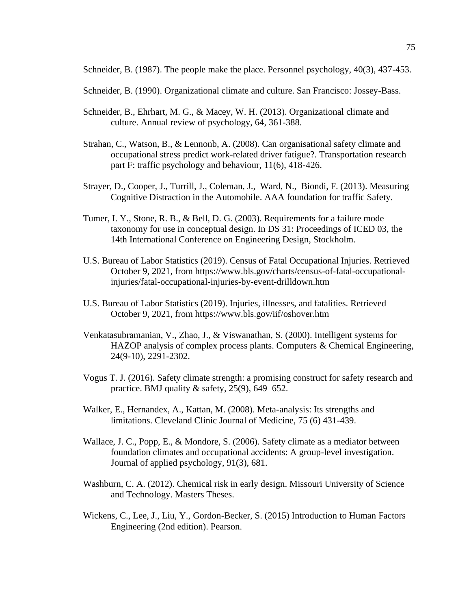Schneider, B. (1987). The people make the place. Personnel psychology, 40(3), 437-453.

- Schneider, B. (1990). Organizational climate and culture. San Francisco: Jossey-Bass.
- Schneider, B., Ehrhart, M. G., & Macey, W. H. (2013). Organizational climate and culture. Annual review of psychology, 64, 361-388.
- Strahan, C., Watson, B., & Lennonb, A. (2008). Can organisational safety climate and occupational stress predict work-related driver fatigue?. Transportation research part F: traffic psychology and behaviour, 11(6), 418-426.
- Strayer, D., Cooper, J., Turrill, J., Coleman, J., Ward, N., Biondi, F. (2013). Measuring Cognitive Distraction in the Automobile. AAA foundation for traffic Safety.
- Tumer, I. Y., Stone, R. B., & Bell, D. G. (2003). Requirements for a failure mode taxonomy for use in conceptual design. In DS 31: Proceedings of ICED 03, the 14th International Conference on Engineering Design, Stockholm.
- U.S. Bureau of Labor Statistics (2019). Census of Fatal Occupational Injuries. Retrieved October 9, 2021, from https://www.bls.gov/charts/census-of-fatal-occupationalinjuries/fatal-occupational-injuries-by-event-drilldown.htm
- U.S. Bureau of Labor Statistics (2019). Injuries, illnesses, and fatalities. Retrieved October 9, 2021, from https://www.bls.gov/iif/oshover.htm
- Venkatasubramanian, V., Zhao, J., & Viswanathan, S. (2000). Intelligent systems for HAZOP analysis of complex process plants. Computers & Chemical Engineering, 24(9-10), 2291-2302.
- Vogus T. J. (2016). Safety climate strength: a promising construct for safety research and practice. BMJ quality  $\&$  safety, 25(9), 649–652.
- Walker, E., Hernandex, A., Kattan, M. (2008). Meta-analysis: Its strengths and limitations. Cleveland Clinic Journal of Medicine, 75 (6) 431-439.
- Wallace, J. C., Popp, E., & Mondore, S. (2006). Safety climate as a mediator between foundation climates and occupational accidents: A group-level investigation. Journal of applied psychology, 91(3), 681.
- Washburn, C. A. (2012). Chemical risk in early design. Missouri University of Science and Technology. Masters Theses.
- Wickens, C., Lee, J., Liu, Y., Gordon-Becker, S. (2015) Introduction to Human Factors Engineering (2nd edition). Pearson.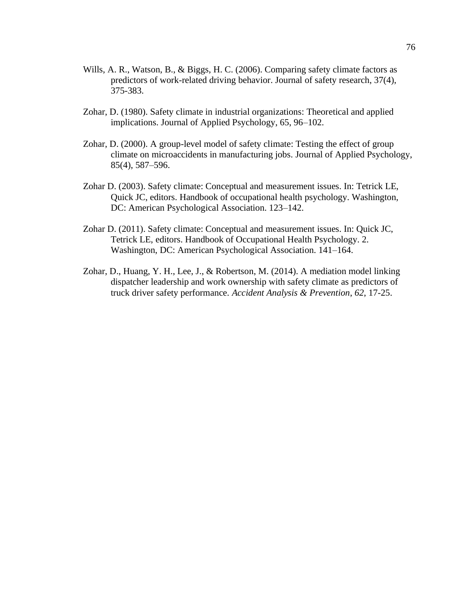- Wills, A. R., Watson, B., & Biggs, H. C. (2006). Comparing safety climate factors as predictors of work-related driving behavior. Journal of safety research, 37(4), 375-383.
- Zohar, D. (1980). Safety climate in industrial organizations: Theoretical and applied implications. Journal of Applied Psychology, 65, 96–102.
- Zohar, D. (2000). A group-level model of safety climate: Testing the effect of group climate on microaccidents in manufacturing jobs. Journal of Applied Psychology, 85(4), 587–596.
- Zohar D. (2003). Safety climate: Conceptual and measurement issues. In: Tetrick LE, Quick JC, editors. Handbook of occupational health psychology. Washington, DC: American Psychological Association. 123–142.
- Zohar D. (2011). Safety climate: Conceptual and measurement issues. In: Quick JC, Tetrick LE, editors. Handbook of Occupational Health Psychology. 2. Washington, DC: American Psychological Association. 141–164.
- Zohar, D., Huang, Y. H., Lee, J., & Robertson, M. (2014). A mediation model linking dispatcher leadership and work ownership with safety climate as predictors of truck driver safety performance. *Accident Analysis & Prevention*, *62*, 17-25.